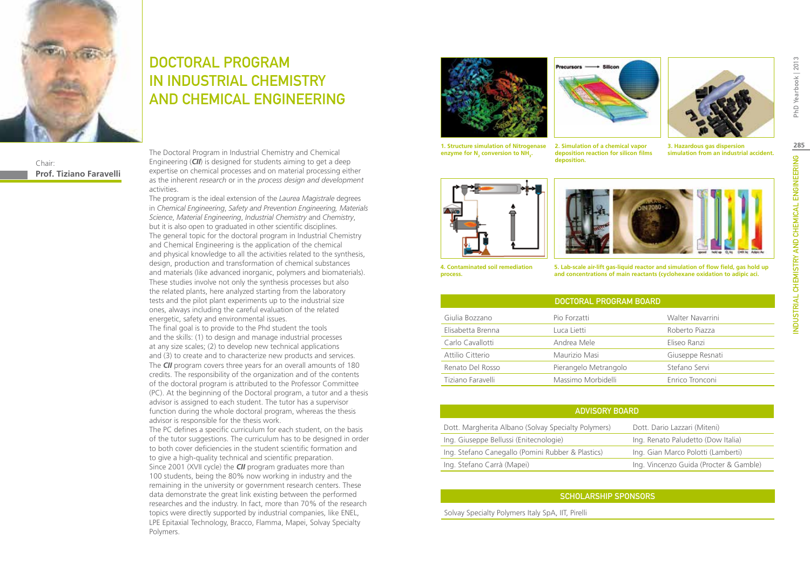

Chair: **Prof. Tiziano Faravelli**

# DOCTORAL PROGRAM IN INDUSTRIAL CHEMISTRY AND CHEMICAL ENGINEERING

The Doctoral Program in Industrial Chemistry and Chemical Engineering (*CII*) is designed for students aiming to get a deep expertise on chemical processes and on material processing either as the inherent *research* or in the *process design and development*  activities.

The program is the ideal extension of the *Laurea Magistrale* degrees in *Chemical Engineering*, *Safety and Prevention Engineering, Materials Science*, *Material Engineering*, *Industrial Chemistry* and *Chemistry*, but it is also open to graduated in other scientific disciplines. The general topic for the doctoral program in Industrial Chemistry and Chemical Engineering is the application of the chemical and physical knowledge to all the activities related to the synthesis, design, production and transformation of chemical substances and materials (like advanced inorganic, polymers and biomaterials). These studies involve not only the synthesis processes but also the related plants, here analyzed starting from the laboratory tests and the pilot plant experiments up to the industrial size ones, always including the careful evaluation of the related energetic, safety and environmental issues. The final goal is to provide to the Phd student the tools and the skills: (1) to design and manage industrial processes at any size scales; (2) to develop new technical applications and (3) to create and to characterize new products and services. The *CII* program covers three years for an overall amounts of 180 credits. The responsibility of the organization and of the contents of the doctoral program is attributed to the Professor Committee (PC). At the beginning of the Doctoral program, a tutor and a thesis advisor is assigned to each student. The tutor has a supervisor function during the whole doctoral program, whereas the thesis advisor is responsible for the thesis work. The PC defines a specific curriculum for each student, on the basis

of the tutor suggestions. The curriculum has to be designed in order to both cover deficiencies in the student scientific formation and to give a high-quality technical and scientific preparation. Since 2001 (XVII cycle) the *CII* program graduates more than 100 students, being the 80% now working in industry and the remaining in the university or government research centers. These data demonstrate the great link existing between the performed researches and the industry. In fact, more than 70% of the research topics were directly supported by industrial companies, like ENEL, LPE Epitaxial Technology, Bracco, Flamma, Mapei, Solvay Specialty Polymers.





**1. Structure simulation of Nitrogenase**  enzyme for N<sub>2</sub> conversion to NH<sub>3</sub>.

**2. Simulation of a chemical vapor deposition reaction for silicon films deposition.**

**3. Hazardous gas dispersion simulation from an industrial accident.**





**4. Contaminated soil remediation process.**

**5. Lab-scale air-lift gas-liquid reactor and simulation of flow field, gas hold up and concentrations of main reactants (cyclohexane oxidation to adipic aci.**

| <b>DOCTORAL PROGRAM BOARD</b> |                       |                  |
|-------------------------------|-----------------------|------------------|
| Giulia Bozzano                | Pio Forzatti          | Walter Navarrini |
| Elisabetta Brenna             | Luca Lietti           | Roberto Piazza   |
| Carlo Cavallotti              | Andrea Mele           | Eliseo Ranzi     |
| Attilio Citterio              | Maurizio Masi         | Giuseppe Resnati |
| Renato Del Rosso              | Pierangelo Metrangolo | Stefano Servi    |
| Tiziano Faravelli             | Massimo Morbidelli    | Enrico Tronconi  |

|  | <b>ADVISORY BOARD</b> |
|--|-----------------------|
|  |                       |

| Dott. Margherita Albano (Solvay Specialty Polymers) | Dott. Dario Lazzari (Miteni)           |
|-----------------------------------------------------|----------------------------------------|
| Ing. Giuseppe Bellussi (Enitecnologie)              | Ing. Renato Paludetto (Dow Italia)     |
| Ing. Stefano Canegallo (Pomini Rubber & Plastics)   | Ing. Gian Marco Polotti (Lamberti)     |
| Ing. Stefano Carrà (Mapei)                          | Ing. Vincenzo Guida (Procter & Gamble) |

## Scholarship Sponsors

Solvay Specialty Polymers Italy SpA, IIT, Pirelli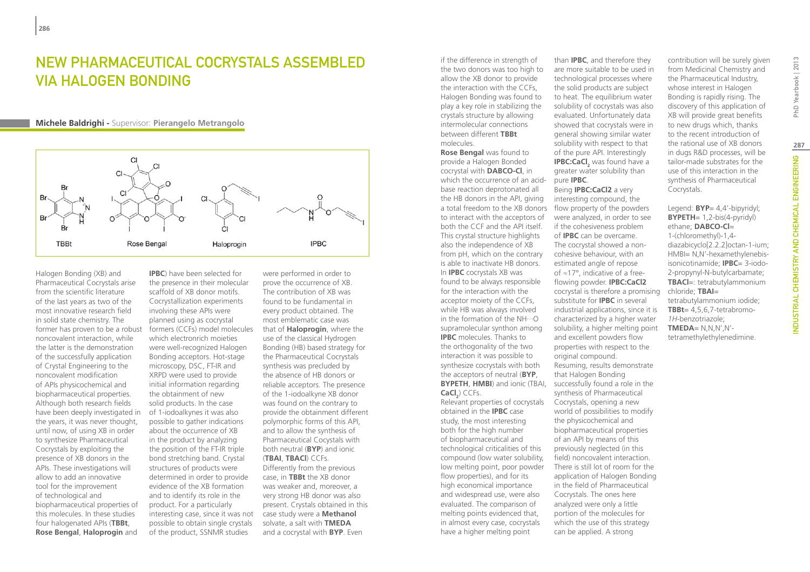## New Pharmaceutical Cocrystals assembled via Halogen Bonding

#### **Michele Baldrighi -** Supervisor: **Pierangelo Metrangolo**



Halogen Bonding (XB) and Pharmaceutical Cocrystals arise from the scientific literature of the last years as two of the most innovative research field in solid state chemistry. The former has proven to be a robust noncovalent interaction, while the latter is the demonstration of the successfully application of Crystal Engineering to the noncovalent modification of APIs physicochemical and biopharmaceutical properties. Although both research fields have been deeply investigated in the years, it was never thought, until now, of using XB in order to synthesize Pharmaceutical Cocrystals by exploiting the presence of XB donors in the APIs. These investigations will allow to add an innovative tool for the improvement of technological and biopharmaceutical properties of this molecules. In these studies four halogenated APIs (**TBBt**, **Rose Bengal**, **Haloprogin** and

**IPBC**) have been selected for the presence in their molecular scaffold of XB donor motifs. Cocrystallization experiments involving these APIs were planned using as cocrystal formers (CCFs) model molecules which electronrich moieties were well-recognized Halogen Bonding acceptors. Hot-stage microscopy, DSC, FT-IR and XRPD were used to provide initial information regarding the obtainment of new solid products. In the case of 1-iodoalkynes it was also possible to gather indications about the occurrence of XB in the product by analyzing the position of the FT-IR triple bond stretching band. Crystal structures of products were determined in order to provide evidence of the XB formation and to identify its role in the product. For a particularly interesting case, since it was not possible to obtain single crystals of the product, SSNMR studies

were performed in order to prove the occurrence of XB. The contribution of XB was found to be fundamental in every product obtained. The most emblematic case was that of **Haloprogin**, where the use of the classical Hydrogen Bonding (HB) based strategy for the Pharmaceutical Cocrystals synthesis was precluded by the absence of HB donors or reliable acceptors. The presence of the 1-iodoalkyne XB donor was found on the contrary to provide the obtainment different polymorphic forms of this API, and to allow the synthesis of Pharmaceutical Cocystals with both neutral (**BYP**) and ionic (**TBAI**, **TBACl**) CCFs. Differently from the previous case, in **TBBt** the XB donor was weaker and, moreover, a very strong HB donor was also present. Crystals obtained in this case study were a **Methanol** solvate, a salt with **TMEDA** and a cocrystal with **BYP**. Even

if the difference in strength of the two donors was too high to allow the XB donor to provide the interaction with the CCFs, Halogen Bonding was found to play a key role in stabilizing the crystals structure by allowing intermolecular connections between different **TBBt** molecules.

**BYPETH, HMBI**) and ionic (TBAI, successfully found a role in the **Rose Bengal** was found to provide a Halogen Bonded cocrystal with **DABCO-Cl**, in which the occurrence of an acidbase reaction deprotonated all the HB donors in the API, giving a total freedom to the XB donors to interact with the acceptors of both the CCF and the API itself. This crystal structure highlights also the independence of XB from pH, which on the contrary is able to inactivate HB donors. In **IPBC** cocrystals XB was found to be always responsible for the interaction with the acceptor moiety of the CCFs, while HB was always involved in the formation of the NH···O supramolecular synthon among **IPBC** molecules. Thanks to the orthogonality of the two interaction it was possible to synthesize cocrystals with both the acceptors of neutral (**BYP**,  $\textsf{CaCl}_2$ ) CCFs.

Relevant properties of cocrystals obtained in the **IPBC** case study, the most interesting both for the high number of biopharmaceutical and technological criticalities of this compound (low water solubility, low melting point, poor powder flow properties), and for its high economical importance and widespread use, were also evaluated. The comparison of melting points evidenced that, in almost every case, cocrystals have a higher melting point

than **IPBC**, and therefore they are more suitable to be used in technological processes where the solid products are subject to heat. The equilibrium water solubility of cocrystals was also evaluated. Unfortunately data showed that cocrystals were in general showing similar water solubility with respect to that of the pure API. Interestingly **IPBC:CaCl**<sub>2</sub> was found have a greater water solubility than pure **IPBC**.

## Being **IPBC:CaCl2** a very

interesting compound, the flow property of the powders were analyzed, in order to see if the cohesiveness problem of **IPBC** can be overcame. The cocrystal showed a noncohesive behaviour, with an estimated angle of repose of ≈17°, indicative of a freeflowing powder. **IPBC:CaCl2** cocrystal is therefore a promising substitute for **IPBC** in several industrial applications, since it is characterized by a higher water solubility, a higher melting point and excellent powders flow properties with respect to the original compound. Resuming, results demonstrate that Halogen Bonding synthesis of Pharmaceutical Cocrystals, opening a new world of possibilities to modify the physicochemical and biopharmaceutical properties of an API by means of this previously neglected (in this field) noncovalent interaction. There is still lot of room for the application of Halogen Bonding in the field of Pharmaceutical Cocrystals. The ones here analyzed were only a little portion of the molecules for which the use of this strategy can be applied. A strong

contribution will be surely given from Medicinal Chemistry and the Pharmaceutical Industry, whose interest in Halogen Bonding is rapidly rising. The discovery of this application of XB will provide great benefits to new drugs which, thanks to the recent introduction of the rational use of XB donors in dugs R&D processes, will be tailor-made substrates for the use of this interaction in the synthesis of Pharmaceutical Cocrystals.

#### Legend: **BYP**= 4,4'-bipyridyl; **BYPETH**= 1,2-bis(4-pyridyl) ethane; **DABCO-Cl**= 1-(chloromethyl)-1,4-

diazabicyclo[2.2.2]octan-1-ium; HMBI= N,N'-hexamethylenebisisonicotinamide; **IPBC**= 3-iodo-2-propynyl-N-butylcarbamate; **TBACl**=: tetrabutylammonium chloride; **TBAI**= tetrabutylammonium iodide; **TBBt**= 4,5,6,7-tetrabromo-*1H*-benzotriazole; **TMEDA**= N,N,N',N' tetramethylethylenedimine.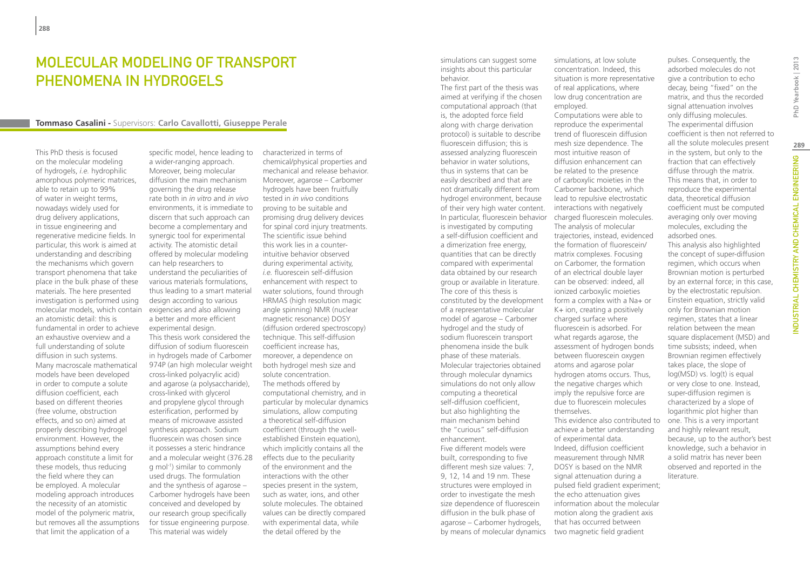## MOI FCUI AR MODELING OF TRANSPORT phenomena in hydrogels

#### **Tommaso Casalini -** Supervisors: **Carlo Cavallotti, Giuseppe Perale**

This PhD thesis is focused on the molecular modeling of hydrogels, *i.e.* hydrophilic amorphous polymeric matrices, able to retain up to 99% of water in weight terms, nowadays widely used for drug delivery applications, in tissue engineering and regenerative medicine fields. In particular, this work is aimed at understanding and describing the mechanisms which govern transport phenomena that take place in the bulk phase of these materials. The here presented investigation is performed using molecular models, which contain an atomistic detail: this is fundamental in order to achieve an exhaustive overview and a full understanding of solute diffusion in such systems. Many macroscale mathematical models have been developed in order to compute a solute diffusion coefficient, each based on different theories (free volume, obstruction effects, and so on) aimed at properly describing hydrogel environment. However, the assumptions behind every approach constitute a limit for these models, thus reducing the field where they can be employed. A molecular modeling approach introduces the necessity of an atomistic model of the polymeric matrix, but removes all the assumptions that limit the application of a

specific model, hence leading to a wider-ranging approach. Moreover, being molecular diffusion the main mechanism governing the drug release rate both in *in vitro* and *in vivo* environments, it is immediate to discern that such approach can become a complementary and synergic tool for experimental activity. The atomistic detail offered by molecular modeling can help researchers to understand the peculiarities of various materials formulations, thus leading to a smart material design according to various exigencies and also allowing a better and more efficient experimental design. This thesis work considered the diffusion of sodium fluorescein in hydrogels made of Carbomer 974P (an high molecular weight cross-linked polyacrylic acid) and agarose (a polysaccharide), cross-linked with glycerol and propylene glycol through esterification, performed by means of microwave assisted synthesis approach. Sodium fluorescein was chosen since it possesses a steric hindrance and a molecular weight (376.28 g mol-1) similar to commonly used drugs. The formulation and the synthesis of agarose – Carbomer hydrogels have been conceived and developed by our research group specifically for tissue engineering purpose. This material was widely

characterized in terms of chemical/physical properties and mechanical and release behavior. Moreover, agarose – Carbomer hydrogels have been fruitfully tested in *in vivo* conditions proving to be suitable and promising drug delivery devices for spinal cord injury treatments. The scientific issue behind this work lies in a counterintuitive behavior observed during experimental activity, *i.e.* fluorescein self-diffusion enhancement with respect to water solutions, found through HRMAS (high resolution magic angle spinning) NMR (nuclear magnetic resonance) DOSY (diffusion ordered spectroscopy) technique. This self-diffusion coefficient increase has, moreover, a dependence on both hydrogel mesh size and solute concentration. The methods offered by computational chemistry, and in particular by molecular dynamics simulations, allow computing a theoretical self-diffusion coefficient (through the wellestablished Einstein equation), which implicitly contains all the effects due to the peculiarity of the environment and the interactions with the other species present in the system, such as water, ions, and other solute molecules. The obtained values can be directly compared with experimental data, while the detail offered by the

simulations can suggest some insights about this particular behavior.

The first part of the thesis was aimed at verifying if the chosen computational approach (that is, the adopted force field along with charge derivation protocol) is suitable to describe fluorescein diffusion; this is assessed analyzing fluorescein behavior in water solutions, thus in systems that can be easily described and that are not dramatically different from hydrogel environment, because of their very high water content. In particular, fluorescein behavior charged fluorescein molecules. is investigated by computing a self-diffusion coefficient and a dimerization free energy, quantities that can be directly compared with experimental data obtained by our research group or available in literature. The core of this thesis is constituted by the development of a representative molecular model of agarose – Carbomer hydrogel and the study of sodium fluorescein transport phenomena inside the bulk phase of these materials. Molecular trajectories obtained through molecular dynamics simulations do not only allow computing a theoretical self-diffusion coefficient, but also highlighting the main mechanism behind the "curious" self-diffusion enhancement. Five different models were built, corresponding to five different mesh size values: 7, 9, 12, 14 and 19 nm. These structures were employed in order to investigate the mesh size dependence of fluorescein diffusion in the bulk phase of

agarose – Carbomer hydrogels, by means of molecular dynamics

simulations, at low solute concentration. Indeed, this situation is more representative of real applications, where low drug concentration are employed.

Computations were able to reproduce the experimental trend of fluorescein diffusion mesh size dependence. The most intuitive reason of diffusion enhancement can be related to the presence of carboxylic moieties in the Carbomer backbone, which lead to repulsive electrostatic interactions with negatively The analysis of molecular trajectories, instead, evidenced the formation of fluorescein/ matrix complexes. Focusing on Carbomer, the formation of an electrical double layer can be observed: indeed, all ionized carboxylic moieties form a complex with a Na+ or K+ ion, creating a positively charged surface where fluorescein is adsorbed. For what regards agarose, the assessment of hydrogen bonds between fluorescein oxygen atoms and agarose polar hydrogen atoms occurs. Thus, the negative charges which imply the repulsive force are due to fluorescein molecules themselves. This evidence also contributed to achieve a better understanding

of experimental data. Indeed, diffusion coefficient measurement through NMR DOSY is based on the NMR signal attenuation during a pulsed field gradient experiment; the echo attenuation gives information about the molecular motion along the gradient axis that has occurred between two magnetic field gradient

adsorbed molecules do not give a contribution to echo decay, being "fixed" on the matrix, and thus the recorded signal attenuation involves only diffusing molecules. The experimental diffusion coefficient is then not referred to all the solute molecules present in the system, but only to the fraction that can effectively diffuse through the matrix. This means that, in order to reproduce the experimental data, theoretical diffusion coefficient must be computed averaging only over moving molecules, excluding the adsorbed ones. This analysis also highlighted the concept of super-diffusion regimen, which occurs when Brownian motion is perturbed by an external force; in this case, by the electrostatic repulsion. Einstein equation, strictly valid only for Brownian motion regimen, states that a linear relation between the mean square displacement (MSD) and time subsists; indeed, when Brownian regimen effectively takes place, the slope of log(MSD) vs. log(t) is equal

or very close to one. Instead, super-diffusion regimen is characterized by a slope of logarithmic plot higher than one. This is a very important and highly relevant result, because, up to the author's best knowledge, such a behavior in a solid matrix has never been observed and reported in the

literature.

pulses. Consequently, the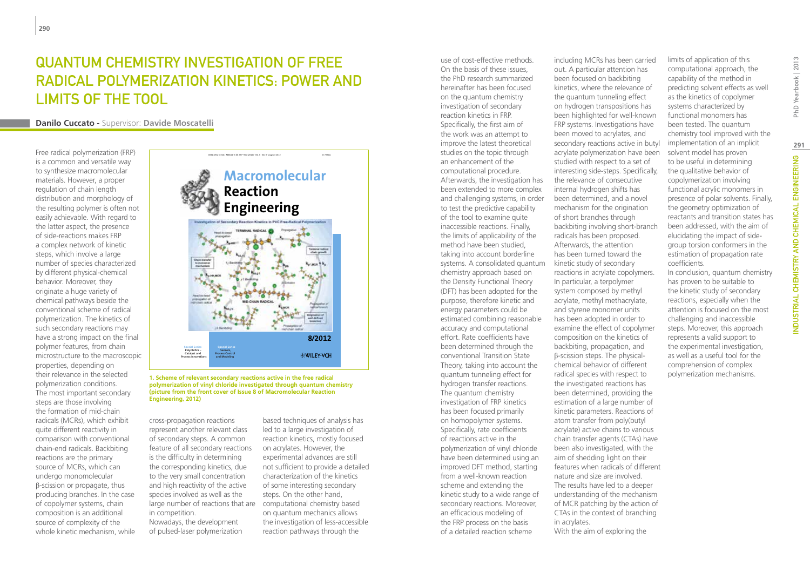# Quantum Chemistry Investigation of Free Radical Polymerization Kinetics: Power and Limits of the Tool

**Danilo Cuccato -** Supervisor: **Davide Moscatelli**

Free radical polymerization (FRP) is a common and versatile way to synthesize macromolecular materials. However, a proper regulation of chain length distribution and morphology of the resulting polymer is often not easily achievable. With regard to the latter aspect, the presence of side-reactions makes FRP a complex network of kinetic steps, which involve a large number of species characterized by different physical-chemical behavior. Moreover, they originate a huge variety of chemical pathways beside the conventional scheme of radical polymerization. The kinetics of such secondary reactions may have a strong impact on the final polymer features, from chain microstructure to the macroscopic properties, depending on their relevance in the selected polymerization conditions. The most important secondary steps are those involving the formation of mid-chain radicals (MCRs), which exhibit quite different reactivity in comparison with conventional chain-end radicals. Backbiting reactions are the primary source of MCRs, which can undergo monomolecular β-scission or propagate, thus producing branches. In the case of copolymer systems, chain composition is an additional source of complexity of the whole kinetic mechanism, while

## **Macromolecular Reaction Engineering 8/2012 Special Series**  \_ **Special Series Polyolefins Sensors, WILEY-VCH Catalyst and Process Control Process Innovations and Modeling**

ISSN 1862-832X · MREAD 6 (8) 297-360 (2012) · Vol. 6 · No. 8 · August 201

**polymerization of vinyl chloride investigated through quantum chemistry (picture from the front cover of Issue 8 of Macromolecular Reaction Engineering, 2012)**

cross-propagation reactions represent another relevant class of secondary steps. A common feature of all secondary reactions is the difficulty in determining the corresponding kinetics, due to the very small concentration and high reactivity of the active species involved as well as the large number of reactions that are computational chemistry based in competition. Nowadays, the development of pulsed-laser polymerization

based techniques of analysis has led to a large investigation of reaction kinetics, mostly focused on acrylates. However, the experimental advances are still not sufficient to provide a detailed characterization of the kinetics of some interesting secondary steps. On the other hand, on quantum mechanics allows the investigation of less-accessible reaction pathways through the

use of cost-effective methods. On the basis of these issues, the PhD research summarized hereinafter has been focused on the quantum chemistry investigation of secondary reaction kinetics in FRP. Specifically, the first aim of the work was an attempt to improve the latest theoretical studies on the topic through an enhancement of the computational procedure. Afterwards, the investigation has been extended to more complex and challenging systems, in order to test the predictive capability of the tool to examine quite inaccessible reactions. Finally, the limits of applicability of the method have been studied, taking into account borderline systems. A consolidated quantum chemistry approach based on the Density Functional Theory (DFT) has been adopted for the purpose, therefore kinetic and energy parameters could be estimated combining reasonable accuracy and computational effort. Rate coefficients have been determined through the conventional Transition State Theory, taking into account the quantum tunneling effect for hydrogen transfer reactions. The quantum chemistry investigation of FRP kinetics has been focused primarily on homopolymer systems. Specifically, rate coefficients of reactions active in the polymerization of vinyl chloride have been determined using an improved DFT method, starting from a well-known reaction scheme and extending the kinetic study to a wide range of secondary reactions. Moreover, an efficacious modeling of the FRP process on the basis of a detailed reaction scheme

including MCRs has been carried out. A particular attention has been focused on backbiting kinetics, where the relevance of the quantum tunneling effect on hydrogen transpositions has been highlighted for well-known FRP systems. Investigations have been moved to acrylates, and secondary reactions active in butyl acrylate polymerization have been studied with respect to a set of interesting side-steps. Specifically, the relevance of consecutive internal hydrogen shifts has been determined, and a novel mechanism for the origination of short branches through backbiting involving short-branch radicals has been proposed. Afterwards, the attention has been turned toward the kinetic study of secondary reactions in acrylate copolymers. In particular, a terpolymer system composed by methyl acrylate, methyl methacrylate, and styrene monomer units has been adopted in order to examine the effect of copolymer composition on the kinetics of backbiting, propagation, and β-scission steps. The physicalchemical behavior of different radical species with respect to the investigated reactions has been determined, providing the estimation of a large number of kinetic parameters. Reactions of atom transfer from poly(butyl acrylate) active chains to various chain transfer agents (CTAs) have been also investigated, with the aim of shedding light on their features when radicals of different nature and size are involved. The results have led to a deeper understanding of the mechanism of MCR patching by the action of CTAs in the context of branching in acrylates. With the aim of exploring the 1. Scheme of relevant secondary reactions active in the free radical **1. Scheme of relevant secondary reactions active in the free radical <b>1.** Scheme of relevant secondary reactions active in the free radical **1.** Scheme

limits of application of this computational approach, the capability of the method in predicting solvent effects as well as the kinetics of copolymer systems characterized by functional monomers has been tested. The quantum chemistry tool improved with the implementation of an implicit solvent model has proven to be useful in determining the qualitative behavior of copolymerization involving functional acrylic monomers in presence of polar solvents. Finally, the geometry optimization of reactants and transition states has been addressed, with the aim of elucidating the impact of sidegroup torsion conformers in the estimation of propagation rate coefficients.

In conclusion, quantum chemistry has proven to be suitable to the kinetic study of secondary reactions, especially when the attention is focused on the most challenging and inaccessible steps. Moreover, this approach represents a valid support to the experimental investigation, as well as a useful tool for the comprehension of complex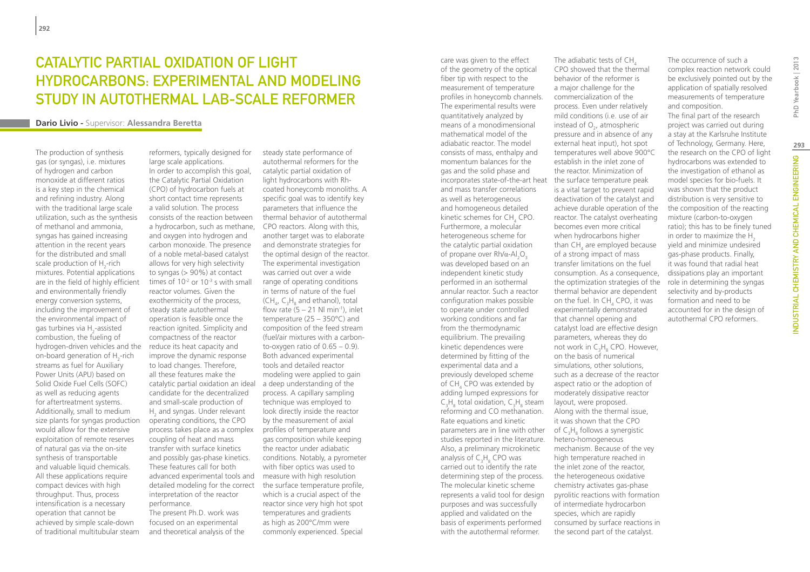# CATALYTIC PARTIAL OXIDATION OF I IGHT hydrocarbons: experimental and modeling study in autothermal lab-scale reformer

#### **Dario Livio -** Supervisor: **Alessandra Beretta**

The production of synthesis gas (or syngas), i.e. mixtures of hydrogen and carbon monoxide at different ratios is a key step in the chemical and refining industry. Along with the traditional large scale utilization, such as the synthesis of methanol and ammonia, syngas has gained increasing attention in the recent years for the distributed and small scale production of  $H_2$ -rich mixtures. Potential applications are in the field of highly efficient and environmentally friendly energy conversion systems, including the improvement of the environmental impact of gas turbines via H<sub>2</sub>-assisted combustion, the fueling of hydrogen-driven vehicles and the on-board generation of  $H_2$ -rich streams as fuel for Auxiliary Power Units (APU) based on Solid Oxide Fuel Cells (SOFC) as well as reducing agents for aftertreatment systems. Additionally, small to medium size plants for syngas production would allow for the extensive exploitation of remote reserves of natural gas via the on-site synthesis of transportable and valuable liquid chemicals. All these applications require compact devices with high throughput. Thus, process intensification is a necessary operation that cannot be achieved by simple scale-down of traditional multitubular steam

reformers, typically designed for large scale applications. In order to accomplish this goal, the Catalytic Partial Oxidation (CPO) of hydrocarbon fuels at short contact time represents a valid solution. The process consists of the reaction between a hydrocarbon, such as methane, CPO reactors. Along with this, and oxygen into hydrogen and carbon monoxide. The presence of a noble metal-based catalyst allows for very high selectivity to syngas (> 90%) at contact times of 10-2 or 10-3 s with small reactor volumes. Given the exothermicity of the process, steady state autothermal operation is feasible once the reaction ignited. Simplicity and compactness of the reactor reduce its heat capacity and improve the dynamic response to load changes. Therefore, all these features make the catalytic partial oxidation an ideal candidate for the decentralized and small-scale production of  $H<sub>2</sub>$  and syngas. Under relevant operating conditions, the CPO process takes place as a complex coupling of heat and mass transfer with surface kinetics and possibly gas-phase kinetics. These features call for both advanced experimental tools and measure with high resolution detailed modeling for the correct the surface temperature profile, interpretation of the reactor performance.

The present Ph.D. work was focused on an experimental and theoretical analysis of the

steady state performance of autothermal reformers for the catalytic partial oxidation of light hydrocarbons with Rhcoated honeycomb monoliths. A specific goal was to identify key parameters that influence the thermal behavior of autothermal another target was to elaborate and demonstrate strategies for the optimal design of the reactor. The experimental investigation was carried out over a wide range of operating conditions in terms of nature of the fuel (CH<sub>4</sub>, C<sub>3</sub>H<sub>8</sub> and ethanol), total flow rate  $(5 - 21$  Nl min<sup>-1</sup>), inlet temperature (25 – 350°C) and composition of the feed stream (fuel/air mixtures with a carbonto-oxygen ratio of  $0.65 - 0.9$ ). Both advanced experimental tools and detailed reactor modeling were applied to gain a deep understanding of the process. A capillary sampling technique was employed to look directly inside the reactor by the measurement of axial profiles of temperature and gas composition while keeping the reactor under adiabatic conditions. Notably, a pyrometer with fiber optics was used to which is a crucial aspect of the reactor since very high hot spot temperatures and gradients as high as 200°C/mm were commonly experienced. Special

care was given to the effect of the geometry of the optical fiber tip with respect to the measurement of temperature profiles in honeycomb channels. The experimental results were quantitatively analyzed by means of a monodimensional mathematical model of the adiabatic reactor. The model consists of mass, enthalpy and momentum balances for the gas and the solid phase and incorporates state-of-the-art heat the surface temperature peak and mass transfer correlations as well as heterogeneous and homogeneous detailed kinetic schemes for  $\mathsf{CH}_4$  CPO. Furthermore, a molecular heterogeneous scheme for the catalytic partial oxidation of propane over  $Rh/α$ - $Al_2O_3$ was developed based on an independent kinetic study performed in an isothermal annular reactor. Such a reactor configuration makes possible to operate under controlled working conditions and far from the thermodynamic equilibrium. The prevailing kinetic dependences were determined by fitting of the experimental data and a previously developed scheme of  $CH_4$  CPO was extended by adding lumped expressions for  $C_3H_8$  total oxidation,  $C_3H_8$  steam reforming and CO methanation. Rate equations and kinetic parameters are in line with other  $\int$  of  $C_3H_8$  follows a synergistic studies reported in the literature. hetero-homogeneous Also, a preliminary microkinetic analysis of  $C_3H_8$  CPO was carried out to identify the rate determining step of the process. The molecular kinetic scheme represents a valid tool for design purposes and was successfully applied and validated on the basis of experiments performed with the autothermal reformer.

The adiabatic tests of CH<sub>4</sub> CPO showed that the thermal behavior of the reformer is a major challenge for the commercialization of the process. Even under relatively mild conditions (i.e. use of air instead of  $O<sub>2</sub>$ , atmospheric pressure and in absence of any external heat input), hot spot temperatures well above 900°C establish in the inlet zone of the reactor. Minimization of is a vital target to prevent rapid deactivation of the catalyst and achieve durable operation of the reactor. The catalyst overheating becomes even more critical when hydrocarbons higher than  $CH<sub>4</sub>$  are employed because of a strong impact of mass transfer limitations on the fuel consumption. As a consequence, the optimization strategies of the thermal behavior are dependent on the fuel. In  $CH<sub>4</sub>$  CPO, it was experimentally demonstrated that channel opening and catalyst load are effective design parameters, whereas they do not work in  $C_3H_8$  CPO. However, on the basis of numerical simulations, other solutions, such as a decrease of the reactor aspect ratio or the adoption of moderately dissipative reactor layout, were proposed. Along with the thermal issue, it was shown that the CPO mechanism. Because of the vey high temperature reached in the inlet zone of the reactor, the heterogeneous oxidative chemistry activates gas-phase pyrolitic reactions with formation of intermediate hydrocarbon species, which are rapidly consumed by surface reactions in the second part of the catalyst.

The occurrence of such a complex reaction network could be exclusively pointed out by the application of spatially resolved measurements of temperature and composition. The final part of the research project was carried out during a stay at the Karlsruhe Institute of Technology, Germany. Here, the research on the CPO of light hydrocarbons was extended to the investigation of ethanol as model species for bio-fuels. It was shown that the product distribution is very sensitive to the composition of the reacting mixture (carbon-to-oxygen ratio); this has to be finely tuned in order to maximize the  $H<sub>2</sub>$ yield and minimize undesired gas-phase products. Finally, it was found that radial heat dissipations play an important role in determining the syngas selectivity and by-products formation and need to be accounted for in the design of autothermal CPO reformers.

Yearbook | 2013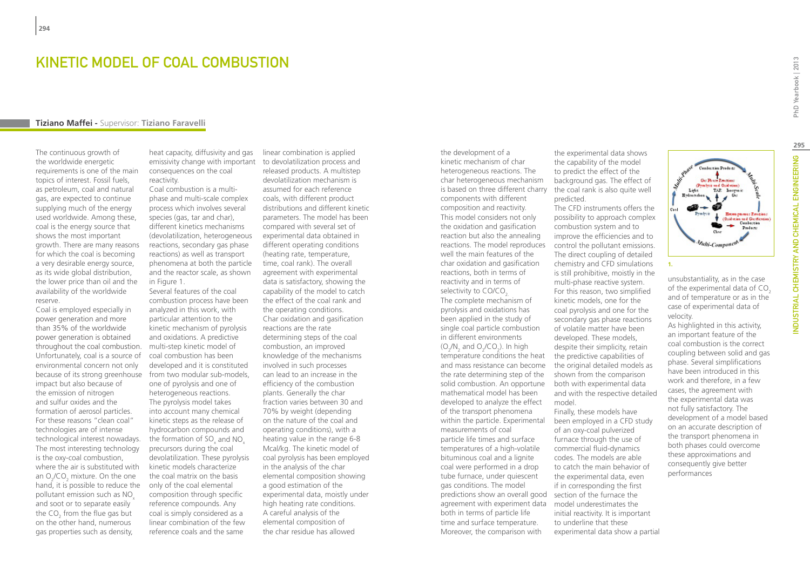## Kinetic Model of Coal Combustion

#### **Tiziano Maffei -** Supervisor: **Tiziano Faravelli**

The continuous growth of the worldwide energetic requirements is one of the main topics of interest. Fossil fuels, as petroleum, coal and natural gas, are expected to continue supplying much of the energy used worldwide. Among these, coal is the energy source that shows the most important growth. There are many reasons for which the coal is becoming a very desirable energy source, as its wide global distribution, the lower price than oil and the availability of the worldwide reserve.

Coal is employed especially in power generation and more than 35% of the worldwide power generation is obtained throughout the coal combustion. Unfortunately, coal is a source of environmental concern not only because of its strong greenhouse impact but also because of the emission of nitrogen and sulfur oxides and the formation of aerosol particles. For these reasons "clean coal" technologies are of intense technological interest nowadays. The most interesting technology is the oxy-coal combustion, where the air is substituted with an  $O_2$ /CO<sub>2</sub> mixture. On the one hand, it is possible to reduce the pollutant emission such as NO<sub>x</sub> and soot or to separate easily the CO<sub>2</sub> from the flue gas but on the other hand, numerous gas properties such as density,

heat capacity, diffusivity and gas emissivity change with important to devolatilization process and consequences on the coal reactivity.

Coal combustion is a multiphase and multi-scale complex process which involves several species (gas, tar and char), different kinetics mechanisms (devolatilization, heterogeneous reactions, secondary gas phase reactions) as well as transport phenomena at both the particle and the reactor scale, as shown in Figure 1.

Several features of the coal combustion process have been analyzed in this work, with particular attention to the kinetic mechanism of pyrolysis and oxidations. A predictive multi-step kinetic model of coal combustion has been developed and it is constituted from two modular sub-models, one of pyrolysis and one of heterogeneous reactions. The pyrolysis model takes into account many chemical kinetic steps as the release of hydrocarbon compounds and the formation of SO<sub>x</sub> and NO<sub>x</sub> precursors during the coal devolatilization. These pyrolysis kinetic models characterize the coal matrix on the basis only of the coal elemental composition through specific reference compounds. Any coal is simply considered as a linear combination of the few reference coals and the same

linear combination is applied released products. A multistep devolatilization mechanism is assumed for each reference coals, with different product distributions and different kinetic parameters. The model has been compared with several set of experimental data obtained in different operating conditions (heating rate, temperature, time, coal rank). The overall agreement with experimental data is satisfactory, showing the capability of the model to catch the effect of the coal rank and the operating conditions. Char oxidation and gasification reactions are the rate determining steps of the coal combustion, an improved knowledge of the mechanisms involved in such processes can lead to an increase in the efficiency of the combustion plants. Generally the char fraction varies between 30 and 70% by weight (depending on the nature of the coal and operating conditions), with a heating value in the range 6-8 Mcal/kg. The kinetic model of coal pyrolysis has been employed in the analysis of the char elemental composition showing a good estimation of the experimental data, moistly under high heating rate conditions. A careful analysis of the elemental composition of the char residue has allowed

the development of a kinetic mechanism of char heterogeneous reactions. The char heterogeneous mechanism is based on three different charry components with different composition and reactivity. This model considers not only the oxidation and gasification reaction but also the annealing reactions. The model reproduces well the main features of the char oxidation and gasification reactions, both in terms of reactivity and in terms of selectivity to CO/CO<sub>2</sub>. The complete mechanism of pyrolysis and oxidations has been applied in the study of single coal particle combustion in different environments  $(O_2/N_2 \text{ and } O_2/CO_2)$ . In high temperature conditions the heat and mass resistance can become the rate determining step of the solid combustion. An opportune mathematical model has been developed to analyze the effect of the transport phenomena within the particle. Experimental measurements of coal particle life times and surface temperatures of a high-volatile bituminous coal and a lignite coal were performed in a drop tube furnace, under quiescent gas conditions. The model predictions show an overall good section of the furnace the agreement with experiment data both in terms of particle life time and surface temperature. Moreover, the comparison with

the experimental data shows the capability of the model to predict the effect of the background gas. The effect of the coal rank is also quite well predicted.

The CFD instruments offers the possibility to approach complex combustion system and to improve the efficiencies and to control the pollutant emissions. The direct coupling of detailed chemistry and CFD simulations is still prohibitive, moistly in the multi-phase reactive system. For this reason, two simplified kinetic models, one for the coal pyrolysis and one for the secondary gas phase reactions of volatile matter have been developed. These models, despite their simplicity, retain the predictive capabilities of the original detailed models as shown from the comparison both with experimental data and with the respective detailed model. Finally, these models have

been employed in a CFD study of an oxy-coal pulverized furnace through the use of commercial fluid-dynamics codes. The models are able to catch the main behavior of the experimental data, even if in corresponding the first model underestimates the initial reactivity. It is important to underline that these experimental data show a partial

**Car District Report** (Prealection of Oxidation) TAP. Inorganic Heces process Emissions (Oxidus in and Garification)<br>Comburation Poder: *Vulti-Compone* **1.**

unsubstantiality, as in the case of the experimental data of CO<sub>2</sub> and of temperature or as in the case of experimental data of velocity.

As highlighted in this activity, an important feature of the coal combustion is the correct coupling between solid and gas phase. Several simplifications have been introduced in this work and therefore, in a few cases, the agreement with the experimental data was not fully satisfactory. The development of a model based on an accurate description of the transport phenomena in both phases could overcome these approximations and consequently give better performances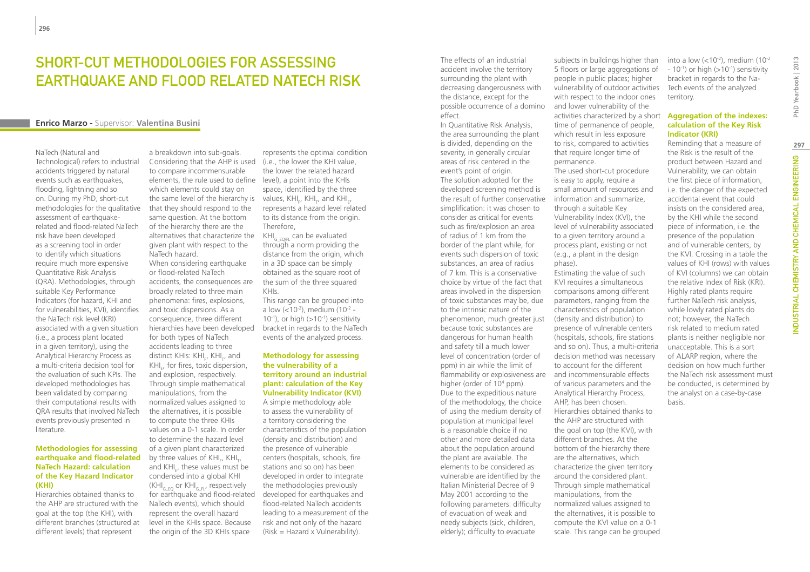# SHORT-CUT METHODOLOGIES FOR ASSESSING earthquake and flood related NaTech risk

### **Enrico Marzo -** Supervisor: **Valentina Busini**

NaTech (Natural and Technological) refers to industrial accidents triggered by natural events such as earthquakes. flooding, lightning and so on. During my PhD, short-cut methodologies for the qualitative assessment of earthquakerelated and flood-related NaTech risk have been developed as a screening tool in order to identify which situations require much more expensive Quantitative Risk Analysis (QRA). Methodologies, through suitable Key Performance Indicators (for hazard, KHI and for vulnerabilities, KVI), identifies the NaTech risk level (KRI) associated with a given situation (i.e., a process plant located in a given territory), using the Analytical Hierarchy Process as a multi-criteria decision tool for the evaluation of such KPIs. The developed methodologies has been validated by comparing their computational results with QRA results that involved NaTech events previously presented in literature.

#### **Methodologies for assessing earthquake and flood-related NaTech Hazard: calculation of the Key Hazard Indicator (KHI)**

Hierarchies obtained thanks to the AHP are structured with the goal at the top (the KHI), with different branches (structured at different levels) that represent

a breakdown into sub-goals. Considering that the AHP is used to compare incommensurable elements, the rule used to define level), a point into the KHIs which elements could stay on the same level of the hierarchy is values,  $KH_{F}$ , KHI<sub>r</sub>, and KHI<sub>E</sub>, that they should respond to the same question. At the bottom of the hierarchy there are the alternatives that characterize the given plant with respect to the NaTech hazard.

When considering earthquake or flood-related NaTech accidents, the consequences are broadly related to three main phenomena: fires, explosions, and toxic dispersions. As a consequence, three different hierarchies have been developed for both types of NaTech accidents leading to three distinct KHIs: KHI<sub>F</sub>, KHI<sub>T</sub>, and KHI<sub>E</sub>, for fires, toxic dispersion, and explosion, respectively. Through simple mathematical manipulations, from the normalized values assigned to the alternatives, it is possible to compute the three KHIs values on a 0-1 scale. In order to determine the hazard level of a given plant characterized by three values of KHI<sub>F</sub>, KHI<sub>T</sub>, and KHI<sub>E</sub>, these values must be condensed into a global KHI  $(KHI<sub>G-FO</sub> or KH<sub>G-FI</sub>$ , respectively for earthquake and flood-related NaTech events), which should represent the overall hazard level in the KHIs space. Because the origin of the 3D KHIs space

represents the optimal condition (i.e., the lower the KHI value,

the lower the related hazard space, identified by the three represents a hazard level related to its distance from the origin. Therefore,

 $KH_{G-EOF}$  can be evaluated through a norm providing the distance from the origin, which in a 3D space can be simply obtained as the square root of the sum of the three squared KHIs.

This range can be grouped into a low (<10-2), medium (10-2 -  $10^{-1}$ ), or high (> $10^{-1}$ ) sensitivity bracket in regards to the NaTech events of the analyzed process.

#### **Methodology for assessing the vulnerability of a territory around an industrial plant: calculation of the Key Vulnerability Indicator (KVI)**

A simple methodology able to assess the vulnerability of a territory considering the characteristics of the population (density and distribution) and the presence of vulnerable centers (hospitals, schools, fire stations and so on) has been developed in order to integrate the methodologies previously developed for earthquakes and flood-related NaTech accidents leading to a measurement of the risk and not only of the hazard (Risk = Hazard x Vulnerability).

The effects of an industrial accident involve the territory surrounding the plant with decreasing dangerousness with the distance, except for the possible occurrence of a domino effect.

In Quantitative Risk Analysis, the area surrounding the plant is divided, depending on the severity, in generally circular areas of risk centered in the event's point of origin. The solution adopted for the developed screening method is the result of further conservative simplification: it was chosen to consider as critical for events such as fire/explosion an area of radius of 1 km from the border of the plant while, for events such dispersion of toxic substances, an area of radius of 7 km. This is a conservative choice by virtue of the fact that areas involved in the dispersion of toxic substances may be, due to the intrinsic nature of the phenomenon, much greater just because toxic substances are dangerous for human health and safety till a much lower level of concentration (order of ppm) in air while the limit of flammability or explosiveness are and incommensurable effects higher (order of 10<sup>4</sup> ppm). Due to the expeditious nature of the methodology, the choice of using the medium density of population at municipal level is a reasonable choice if no other and more detailed data about the population around the plant are available. The elements to be considered as vulnerable are identified by the Italian Ministerial Decree of 9 May 2001 according to the following parameters: difficulty of evacuation of weak and needy subjects (sick, children, elderly); difficulty to evacuate

subjects in buildings higher than 5 floors or large aggregations of people in public places; higher vulnerability of outdoor activities with respect to the indoor ones and lower vulnerability of the activities characterized by a short time of permanence of people, which result in less exposure to risk, compared to activities that require longer time of permanence. The used short-cut procedure is easy to apply, require a small amount of resources and information and summarize,

through a suitable Key Vulnerability Index (KVI), the level of vulnerability associated to a given territory around a process plant, existing or not (e.g., a plant in the design phase).

Estimating the value of such KVI requires a simultaneous comparisons among different parameters, ranging from the characteristics of population (density and distribution) to presence of vulnerable centers (hospitals, schools, fire stations and so on). Thus, a multi-criteria decision method was necessary to account for the different of various parameters and the Analytical Hierarchy Process, AHP, has been chosen. Hierarchies obtained thanks to the AHP are structured with the goal on top (the KVI), with different branches. At the bottom of the hierarchy there are the alternatives, which characterize the given territory around the considered plant. Through simple mathematical manipulations, from the normalized values assigned to the alternatives, it is possible to compute the KVI value on a 0-1 scale. This range can be grouped

into a low  $\left($  < 10<sup>-2</sup>), medium  $(10^{-2})$  $-10^{-1}$ ) or high ( $>10^{-1}$ ) sensitivity bracket in regards to the Na-Tech events of the analyzed territory.

#### **Aggregation of the indexes: calculation of the Key Risk Indicator (KRI)**

Reminding that a measure of the Risk is the result of the product between Hazard and Vulnerability, we can obtain the first piece of information, i.e. the danger of the expected accidental event that could insists on the considered area, by the KHI while the second piece of information, i.e. the presence of the population and of vulnerable centers, by the KVI. Crossing in a table the values of KHI (rows) with values of KVI (columns) we can obtain the relative Index of Risk (KRI). Highly rated plants require further NaTech risk analysis, while lowly rated plants do not; however, the NaTech risk related to medium rated plants is neither negligible nor unacceptable. This is a sort of ALARP region, where the decision on how much further the NaTech risk assessment must be conducted, is determined by the analyst on a case-by-case basis.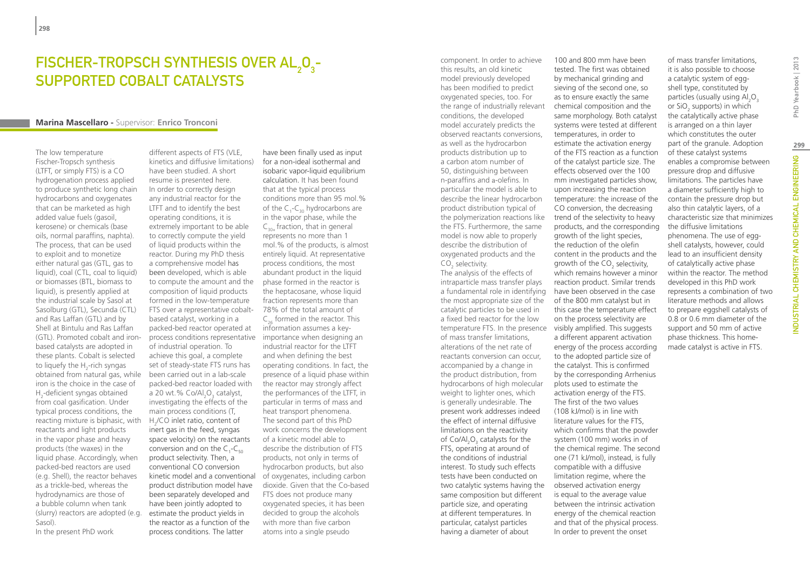# FISCHER-TROPSCH SYNTHESIS OVER AL<sub>2</sub>O<sub>3</sub>supported cobalt catalysts

### **Marina Mascellaro -** Supervisor: **Enrico Tronconi**

The low temperature Fischer-Tropsch synthesis (LTFT, or simply FTS) is a CO hydrogenation process applied to produce synthetic long chain hydrocarbons and oxygenates that can be marketed as high added value fuels (gasoil, kerosene) or chemicals (base oils, normal paraffins, naphta). The process, that can be used to exploit and to monetize either natural gas (GTL, gas to liquid), coal (CTL, coal to liquid) or biomasses (BTL, biomass to liquid), is presently applied at the industrial scale by Sasol at Sasolburg (GTL), Secunda (CTL) and Ras Laffan (GTL) and by Shell at Bintulu and Ras Laffan (GTL). Promoted cobalt and ironbased catalysts are adopted in these plants. Cobalt is selected to liquefy the  $H_2$ -rich syngas obtained from natural gas, while iron is the choice in the case of H2 -deficient syngas obtained from coal gasification. Under typical process conditions, the reacting mixture is biphasic, with reactants and light products in the vapor phase and heavy products (the waxes) in the liquid phase. Accordingly, when packed-bed reactors are used (e.g. Shell), the reactor behaves as a trickle-bed, whereas the hydrodynamics are those of a bubble column when tank (slurry) reactors are adopted (e.g. Sasol). In the present PhD work

different aspects of FTS (VLE, kinetics and diffusive limitations) have been studied. A short resume is presented here. In order to correctly design any industrial reactor for the LTFT and to identify the best operating conditions, it is extremely important to be able to correctly compute the yield of liquid products within the reactor. During my PhD thesis a comprehensive model has been developed, which is able to compute the amount and the composition of liquid products formed in the low-temperature FTS over a representative cobalt-78% of the total amount of based catalyst, working in a packed-bed reactor operated at process conditions representative importance when designing an of industrial operation. To achieve this goal, a complete set of steady-state FTS runs has been carried out in a lab-scale packed-bed reactor loaded with a 20 wt.% Co/Al<sub>2</sub>O<sub>3</sub> catalyst, investigating the effects of the main process conditions (T, H<sub>2</sub>/CO inlet ratio, content of inert gas in the feed, syngas space velocity) on the reactants conversion and on the  $C_1$ - $C_{50}$ product selectivity. Then, a conventional CO conversion kinetic model and a conventional product distribution model have been separately developed and have been jointly adopted to estimate the product yields in the reactor as a function of the process conditions. The latter

have been finally used as input for a non-ideal isothermal and isobaric vapor-liquid equilibrium calculation. It has been found that at the typical process conditions more than 95 mol.% of the  $C_1$ - $C_{30}$  hydrocarbons are in the vapor phase, while the  $C_{30}$ , fraction, that in general represents no more than 1 mol.% of the products, is almost entirely liquid. At representative process conditions, the most abundant product in the liquid phase formed in the reactor is the heptacosane, whose liquid fraction represents more than  $C_{26}$  formed in the reactor. This information assumes a keyindustrial reactor for the LTFT and when defining the best operating conditions. In fact, the presence of a liquid phase within the reactor may strongly affect the performances of the LTFT, in particular in terms of mass and heat transport phenomena. The second part of this PhD work concerns the development of a kinetic model able to describe the distribution of FTS products, not only in terms of hydrocarbon products, but also of oxygenates, including carbon dioxide. Given that the Co-based FTS does not produce many oxygenated species, it has been decided to group the alcohols with more than five carbon atoms into a single pseudo

component. In order to achieve this results, an old kinetic model previously developed has been modified to predict oxygenated species, too. For the range of industrially relevant conditions, the developed model accurately predicts the observed reactants conversions, as well as the hydrocarbon products distribution up to a carbon atom number of 50, distinguishing between n-paraffins and a-olefins. In particular the model is able to describe the linear hydrocarbon product distribution typical of the polymerization reactions like the FTS. Furthermore, the same model is now able to properly describe the distribution of oxygenated products and the

 $CO<sub>2</sub>$  selectivity. The analysis of the effects of intraparticle mass transfer plays a fundamental role in identifying the most appropriate size of the catalytic particles to be used in a fixed bed reactor for the low temperature FTS. In the presence visibly amplified. This suggests of mass transfer limitations, alterations of the net rate of reactants conversion can occur, accompanied by a change in the product distribution, from hydrocarbons of high molecular weight to lighter ones, which is generally undesirable. The present work addresses indeed the effect of internal diffusive limitations on the reactivity of  $Co/Al_2O_3$  catalysts for the FTS, operating at around of the conditions of industrial interest. To study such effects tests have been conducted on two catalytic systems having the same composition but different particle size, and operating at different temperatures. In particular, catalyst particles having a diameter of about

100 and 800 mm have been tested. The first was obtained by mechanical grinding and sieving of the second one, so as to ensure exactly the same chemical composition and the same morphology. Both catalyst systems were tested at different temperatures, in order to estimate the activation energy of the FTS reaction as a function of the catalyst particle size. The effects observed over the 100 mm investigated particles show, upon increasing the reaction temperature: the increase of the CO conversion, the decreasing trend of the selectivity to heavy products, and the corresponding growth of the light species, the reduction of the olefin content in the products and the growth of the  $CO<sub>2</sub>$  selectivity, which remains however a minor reaction product. Similar trends have been observed in the case of the 800 mm catalyst but in this case the temperature effect on the process selectivity are a different apparent activation energy of the process according to the adopted particle size of the catalyst. This is confirmed by the corresponding Arrhenius plots used to estimate the activation energy of the FTS. The first of the two values (108 kJ/mol) is in line with literature values for the FTS, which confirms that the powder system (100 mm) works in of the chemical regime. The second one (71 kJ/mol), instead, is fully compatible with a diffusive limitation regime, where the observed activation energy is equal to the average value between the intrinsic activation energy of the chemical reaction and that of the physical process. In order to prevent the onset

of mass transfer limitations, it is also possible to choose a catalytic system of eggshell type, constituted by particles (usually using  $Al_2O_3$ or SiO<sub>2</sub> supports) in which the catalytically active phase is arranged on a thin layer which constitutes the outer part of the granule. Adoption of these catalyst systems enables a compromise between pressure drop and diffusive limitations. The particles have a diameter sufficiently high to contain the pressure drop but also thin catalytic layers, of a characteristic size that minimizes the diffusive limitations phenomena. The use of eggshell catalysts, however, could lead to an insufficient density of catalytically active phase within the reactor. The method developed in this PhD work represents a combination of two literature methods and allows to prepare eggshell catalysts of 0.8 or 0.6 mm diameter of the support and 50 mm of active phase thickness. This homemade catalyst is active in FTS.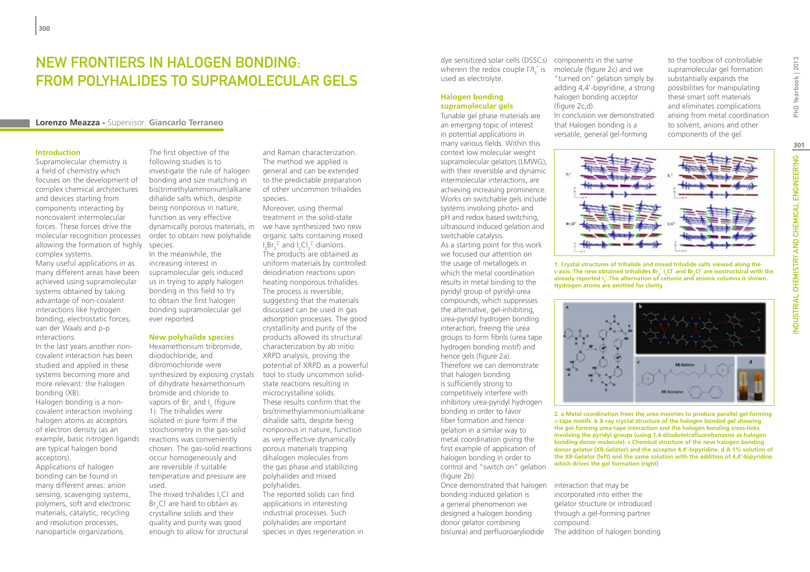# New frontiers in halogen bonding: from polyhalides to supramolecular gels

### **Lorenzo Meazza -** Supervisor: **Giancarlo Terraneo**

#### **Introduction**

Supramolecular chemistry is a field of chemistry which focuses on the development of complex chemical architectures and devices starting from components interacting by noncovalent intermolecular forces. These forces drive the molecular recognition processes allowing the formation of highly complex systems. Many useful applications in as

many different areas have been achieved using supramolecular systems obtained by taking advantage of non-covalent interactions like hydrogen bonding, electrostatic forces, van der Waals and p-p interactions.

In the last years another noncovalent interaction has been studied and applied in these systems becoming more and more relevant: the halogen bonding (XB).

Halogen bonding is a noncovalent interaction involving halogen atoms as acceptors of electron density (as an example, basic nitrogen ligands are typical halogen bond acceptors).

Applications of halogen bonding can be found in many different areas: anion sensing, scavenging systems, polymers, soft and electronic materials, catalytic, recycling and resolution processes, nanoparticle organizations.

The first objective of the following studies is to investigate the rule of halogen bonding and size matching in bis(trimethylammonium)alkane dihalide salts which, despite being nonporous in nature, function as very effective dynamically porous materials, in we have synthesized two new order to obtain new polyhalide species.

In the meanwhile, the increasing interest in supramolecular gels induced us in trying to apply halogen bonding in this field to try to obtain the first halogen bonding supramolecular gel ever reported.

### **New polyhalide species**

Hexamethonium tribromide, diiodochloride, and dibromochloride were synthesized by exposing crystals of dihydrate hexamethonium bromide and chloride to vapors of  $Br_2$  and  $I_2$  (figure 1). The trihalides were isolated in pure form if the stoichiometry in the gas-solid reactions was conveniently chosen. The gas-solid reactions occur homogeneously and are reversible if suitable temperature and pressure are used.

The mixed trihalides  $I_2$ Cl $\bar{I}$  and  $Br<sub>2</sub>Cl<sup>+</sup>$  are hard to obtain as crystalline solids and their quality and purity was good enough to allow for structural

and Raman characterization. The method we applied is general and can be extended to the predictable preparation of other uncommon trihalides species.

Moreover, using thermal treatment in the solid-state organic salts containing mixed  $I_2Br_2^2$  and  $I_2Cl_2^2$  dianions.  $72$  and  $72$  and  $22$  and  $22$  and  $22$  and  $22$  and  $22$  and  $22$  and  $22$  and  $22$  and  $22$  and  $22$  and  $22$  and  $22$  and  $22$  and  $22$  and  $22$  and  $22$  and  $22$  and  $22$  and  $22$  and  $22$  and  $22$  and  $22$  and  $22$  uniform materials by controlled deiodination reactions upon heating nonporous trihalides. The process is reversible, suggesting that the materials discussed can be used in gas adsorption processes. The good crystallinity and purity of the products allowed its structural characterization by ab initio XRPD analysis, proving the potential of XRPD as a powerful tool to study uncommon solidstate reactions resulting in microcrystalline solids. These results confirm that the bis(trimethylammonium)alkane dihalide salts, despite being nonporous in nature, function as very effective dynamically porous materials trapping dihalogen molecules from the gas phase and stabilizing polyhalides and mixed polyhalides. The reported solids can find applications in interesting industrial processes. Such

polyhalides are important species in dyes regeneration in

dye sensitized solar cells (DSSCs) components in the same wherein the redox couple  $I/I_3^-$  is used as electrolyte.

### **Halogen bonding supramolecular gels**

Tunable gel phase materials are an emerging topic of interest in potential applications in many various fields. Within this context low molecular weight supramolecular gelators (LMWG), with their reversible and dynamic intermolecular interactions, are achieving increasing prominence. Works on switchable gels include systems involving photo- and pH and redox based switching, ultrasound induced gelation and switchable catalysis.

As a starting point for this work we focused our attention on the usage of metallogels in which the metal coordination results in metal binding to the pyridyl group of pyridyl-urea compounds, which suppresses the alternative, gel-inhibiting, urea-pyridyl hydrogen bonding interaction, freeing the urea groups to form fibrils (urea tape hydrogen bonding motif) and hence gels (figure 2a). Therefore we can demonstrate that halogen bonding is sufficiently strong to competitively interfere with inhibitory urea-pyridyl hydrogen bonding in order to favor fiber formation and hence gelation in a similar way to metal coordination giving the first example of application of halogen bonding in order to control and "switch on" gelation (figure 2b).

Once demonstrated that halogen interaction that may be bonding induced gelation is a general phenomenon we designed a halogen bonding donor gelator combining bis(urea) and perfluoroaryliodide

molecule (figure 2c) and we "turned on" gelation simply by adding 4,4'-bipyridine, a strong halogen bonding acceptor (figure 2c,d).

In conclusion we demonstrated that Halogen bonding is a versatile, general gel-forming

to the toolbox of controllable supramolecular gel formation substantially expands the possibilities for manipulating these smart soft materials and eliminates complications arising from metal coordination to solvent, anions and other components of the gel.



**1. Crystal structures of trihalide and mixed trihalide salts viewed along the**  c-axis. The new obtained trihalides Br<sub>3</sub><sup>-</sup> I<sub>2</sub>Cl¯ and Br<sub>2</sub>Cl¯ are isostructural with the already reported I<sub>3</sub>. The alternation of cationic and anionic columns is shown. **Hydrogen atoms are omitted for clarity**



**2. a Metal coordination frees the urea moieties to produce parallel gel-forming**  α**-tape motifs. b X-ray crystal structure of the halogen bonded gel showing the gel-forming urea-tape interaction and the halogen bonding cross-links involving the pyridyl groups (using 1,4-diiodotetrafluorobenzene as halogen bonding-donor molecule). c Chemical structure of the new halogen bonding donor gelator (XB-Gelator) and the acceptor 4,4'-bipyridine. d A 1% solution of the XB-Gelator (left) and the same solution with the addition of 4,4'-bipyridine which drives the gel formation (right)**

incorporated into either the gelator structure or introduced through a gel-forming partner compound. The addition of halogen bonding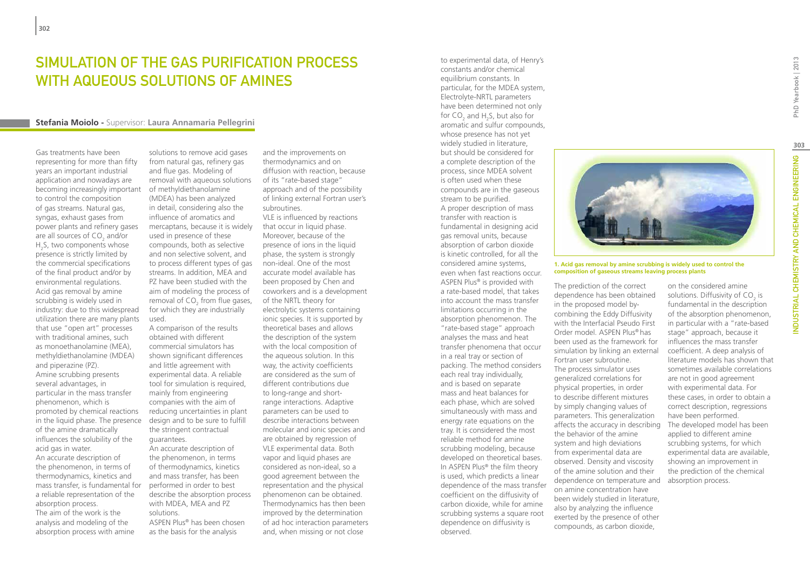## SIMULATION OF THE GAS PURIFICATION PROCESS WITH AQUEOUS SOLUTIONS OF AMINES

#### **Stefania Moiolo -** Supervisor: **Laura Annamaria Pellegrini**

used.

Gas treatments have been representing for more than fifty years an important industrial application and nowadays are becoming increasingly important to control the composition of gas streams. Natural gas, syngas, exhaust gases from power plants and refinery gases are all sources of  $CO<sub>2</sub>$  and/or  $H<sub>2</sub>S$ , two components whose presence is strictly limited by the commercial specifications of the final product and/or by environmental regulations. Acid gas removal by amine scrubbing is widely used in industry: due to this widespread utilization there are many plants that use "open art" processes with traditional amines, such as monoethanolamine (MEA), methyldiethanolamine (MDEA) and piperazine (PZ). Amine scrubbing presents several advantages, in particular in the mass transfer phenomenon, which is promoted by chemical reactions in the liquid phase. The presence of the amine dramatically influences the solubility of the acid gas in water. An accurate description of the phenomenon, in terms of thermodynamics, kinetics and mass transfer, is fundamental for a reliable representation of the absorption process. The aim of the work is the analysis and modeling of the absorption process with amine

solutions to remove acid gases from natural gas, refinery gas and flue gas. Modeling of removal with aqueous solutions of methyldiethanolamine (MDEA) has been analyzed in detail, considering also the influence of aromatics and mercaptans, because it is widely used in presence of these compounds, both as selective and non selective solvent, and to process different types of gas streams. In addition, MEA and PZ have been studied with the aim of modeling the process of removal of  $CO<sub>2</sub>$  from flue gases, for which they are industrially

A comparison of the results obtained with different commercial simulators has shown significant differences and little agreement with experimental data. A reliable tool for simulation is required, mainly from engineering companies with the aim of reducing uncertainties in plant design and to be sure to fulfill the stringent contractual guarantees.

An accurate description of the phenomenon, in terms of thermodynamics, kinetics and mass transfer, has been performed in order to best describe the absorption process with MDEA, MEA and PZ solutions.

ASPEN Plus® has been chosen as the basis for the analysis

and the improvements on thermodynamics and on diffusion with reaction, because of its "rate-based stage" approach and of the possibility of linking external Fortran user's subroutines. VLE is influenced by reactions that occur in liquid phase. Moreover, because of the presence of ions in the liquid phase, the system is strongly non-ideal. One of the most accurate model available has been proposed by Chen and coworkers and is a development of the NRTL theory for electrolytic systems containing ionic species. It is supported by theoretical bases and allows the description of the system with the local composition of the aqueous solution. In this way, the activity coefficients are considered as the sum of different contributions due to long-range and shortrange interactions. Adaptive parameters can be used to describe interactions between molecular and ionic species and are obtained by regression of VLE experimental data. Both vapor and liquid phases are considered as non-ideal, so a good agreement between the representation and the physical phenomenon can be obtained. Thermodynamics has then been improved by the determination of ad hoc interaction parameters and, when missing or not close

constants and/or chemical equilibrium constants. In particular, for the MDEA system, Electrolyte-NRTL parameters have been determined not only for  $CO_2$  and H<sub>2</sub>S, but also for aromatic and sulfur compounds, whose presence has not yet widely studied in literature, but should be considered for a complete description of the process, since MDEA solvent is often used when these compounds are in the gaseous stream to be purified. A proper description of mass transfer with reaction is fundamental in designing acid gas removal units, because absorption of carbon dioxide is kinetic controlled, for all the considered amine systems, even when fast reactions occur. ASPEN Plus® is provided with a rate-based model, that takes into account the mass transfer limitations occurring in the absorption phenomenon. The "rate-based stage" approach analyses the mass and heat transfer phenomena that occur in a real tray or section of packing. The method considers each real tray individually, and is based on separate mass and heat balances for each phase, which are solved simultaneously with mass and energy rate equations on the tray. It is considered the most reliable method for amine scrubbing modeling, because developed on theoretical bases. In ASPEN Plus® the film theory is used, which predicts a linear dependence of the mass transfer coefficient on the diffusivity of carbon dioxide, while for amine scrubbing systems a square root dependence on diffusivity is observed.

to experimental data, of Henry's



**1. Acid gas removal by amine scrubbing is widely used to control the composition of gaseous streams leaving process plants**

The prediction of the correct dependence has been obtained in the proposed model by combining the Eddy Diffusivity with the Interfacial Pseudo First Order model. ASPEN Plus® has been used as the framework for simulation by linking an external Fortran user subroutine. The process simulator uses generalized correlations for physical properties, in order to describe different mixtures by simply changing values of parameters. This generalization affects the accuracy in describing the behavior of the amine system and high deviations from experimental data are observed. Density and viscosity of the amine solution and their dependence on temperature and on amine concentration have been widely studied in literature, also by analyzing the influence exerted by the presence of other compounds, as carbon dioxide,

on the considered amine solutions. Diffusivity of  $\mathsf{CO}_2$  is fundamental in the description of the absorption phenomenon, in particular with a "rate-based stage" approach, because it influences the mass transfer coefficient. A deep analysis of literature models has shown that sometimes available correlations are not in good agreement with experimental data. For these cases, in order to obtain a correct description, regressions have been performed. The developed model has been applied to different amine scrubbing systems, for which experimental data are available, showing an improvement in the prediction of the chemical absorption process.

**303**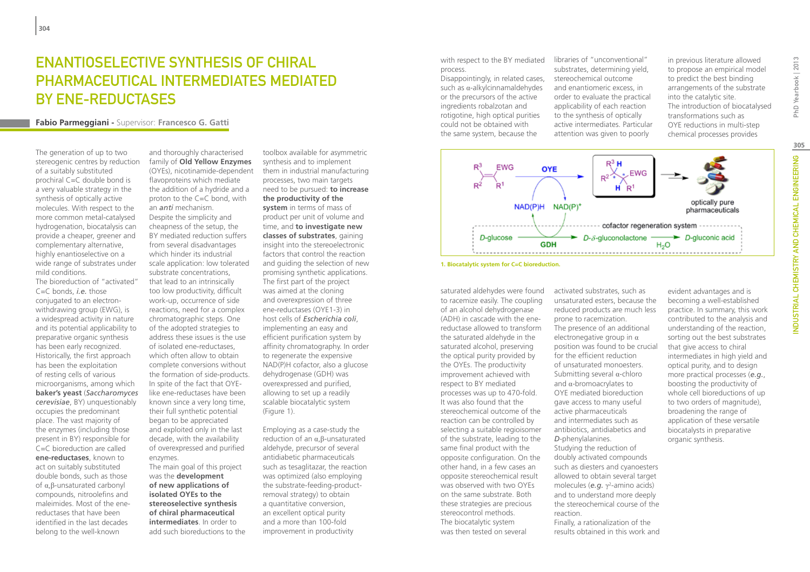# Enantioselective synthesis of chiral pharmaceutical intermediates mediated BY ENE-REDUCTASES

## **Fabio Parmeggiani -** Supervisor: **Francesco G. Gatti**

The generation of up to two stereogenic centres by reduction of a suitably substituted prochiral C=C double bond is a very valuable strategy in the synthesis of optically active molecules. With respect to the more common metal-catalysed hydrogenation, biocatalysis can provide a cheaper, greener and complementary alternative, highly enantioselective on a wide range of substrates under mild conditions.

The bioreduction of "activated" C=C bonds, *i.e.* those conjugated to an electronwithdrawing group (EWG), is a widespread activity in nature and its potential applicability to preparative organic synthesis has been early recognized. Historically, the first approach has been the exploitation of resting cells of various microorganisms, among which **baker's yeast** (*Saccharomyces cerevisiae*, BY) unquestionably occupies the predominant place. The vast majority of the enzymes (including those present in BY) responsible for C=C bioreduction are called **ene-reductases**, known to act on suitably substituted double bonds, such as those of α,β-unsaturated carbonyl compounds, nitroolefins and maleimides. Most of the enereductases that have been identified in the last decades belong to the well-known

and thoroughly characterised family of **Old Yellow Enzymes** (OYEs), nicotinamide-dependent flavoproteins which mediate the addition of a hydride and a proton to the C=C bond, with an *anti* mechanism. Despite the simplicity and cheapness of the setup, the BY mediated reduction suffers from several disadvantages which hinder its industrial scale application: low tolerated substrate concentrations, that lead to an intrinsically too low productivity, difficult work-up, occurrence of side reactions, need for a complex chromatographic steps. One of the adopted strategies to address these issues is the use of isolated ene-reductases, which often allow to obtain complete conversions without the formation of side-products. In spite of the fact that OYElike ene-reductases have been known since a very long time, their full synthetic potential began to be appreciated and exploited only in the last decade, with the availability of overexpressed and purified enzymes. The main goal of this project was the **development of new applications of isolated OYEs to the** 

**stereoselective synthesis of chiral pharmaceutical intermediates**. In order to add such bioreductions to the

toolbox available for asymmetric synthesis and to implement them in industrial manufacturing processes, two main targets need to be pursued: **to increase the productivity of the system** in terms of mass of product per unit of volume and time, and **to investigate new classes of substrates**, gaining insight into the stereoelectronic factors that control the reaction and guiding the selection of new promising synthetic applications. The first part of the project was aimed at the cloning and overexpression of three ene-reductases (OYE1-3) in host cells of *Escherichia coli*, implementing an easy and efficient purification system by affinity chromatography. In order to regenerate the expensive NAD(P)H cofactor, also a glucose dehydrogenase (GDH) was overexpressed and purified, allowing to set up a readily scalable biocatalytic system (Figure 1).

Employing as a case-study the reduction of an α,β-unsaturated aldehyde, precursor of several antidiabetic pharmaceuticals such as tesaglitazar, the reaction was optimized (also employing the substrate-feeding-productremoval strategy) to obtain a quantitative conversion, an excellent optical purity and a more than 100-fold improvement in productivity

with respect to the BY mediated process.

Disappointingly, in related cases, such as α-alkylcinnamaldehydes or the precursors of the active ingredients robalzotan and rotigotine, high optical purities could not be obtained with the same system, because the

libraries of "unconventional" substrates, determining yield, stereochemical outcome and enantiomeric excess, in order to evaluate the practical applicability of each reaction to the synthesis of optically active intermediates. Particular attention was given to poorly

in previous literature allowed to propose an empirical model to predict the best binding arrangements of the substrate into the catalytic site. The introduction of biocatalysed transformations such as OYE reductions in multi-step chemical processes provides



**<sup>1.</sup> Biocatalytic system for C=C bioreduction.**

saturated aldehydes were found to racemize easily. The coupling of an alcohol dehydrogenase (ADH) in cascade with the enereductase allowed to transform the saturated aldehyde in the saturated alcohol, preserving the optical purity provided by the OYEs. The productivity improvement achieved with respect to BY mediated processes was up to 470-fold. It was also found that the stereochemical outcome of the reaction can be controlled by selecting a suitable regioisomer of the substrate, leading to the same final product with the opposite configuration. On the other hand, in a few cases an opposite stereochemical result was observed with two OYEs on the same substrate. Both these strategies are precious stereocontrol methods. The biocatalytic system was then tested on several

activated substrates, such as unsaturated esters, because the reduced products are much less prone to racemization. The presence of an additional electronegative group in  $\alpha$ position was found to be crucial for the efficient reduction of unsaturated monoesters. Submitting several α-chloro and α-bromoacrylates to OYE mediated bioreduction gave access to many useful active pharmaceuticals and intermediates such as antibiotics, antidiabetics and *D*-phenylalanines. Studying the reduction of doubly activated compounds such as diesters and cyanoesters allowed to obtain several target molecules (e.g. γ<sup>2</sup>-amino acids) and to understand more deeply the stereochemical course of the reaction. Finally, a rationalization of the results obtained in this work and

evident advantages and is becoming a well-established practice. In summary, this work contributed to the analysis and understanding of the reaction, sorting out the best substrates that give access to chiral intermediates in high yield and optical purity, and to design more practical processes (*e.g.*, boosting the productivity of whole cell bioreductions of up to two orders of magnitude), broadening the range of application of these versatile biocatalysts in preparative organic synthesis.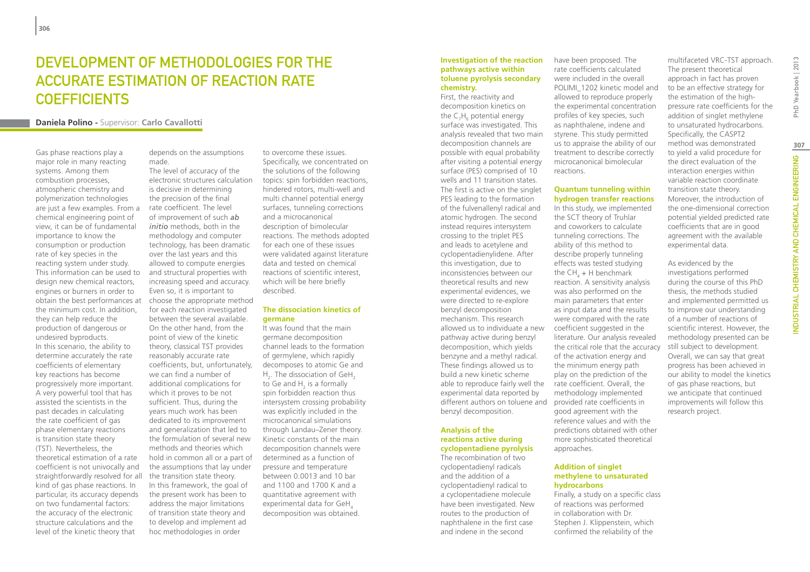## DEVELOPMENT OF METHODOLOGIES FOR THE Accurate Estimation of Reaction Rate **COEFFICIENTS**

#### **Daniela Polino -** Supervisor: **Carlo Cavallotti**

Gas phase reactions play a major role in many reacting systems. Among them combustion processes, atmospheric chemistry and polymerization technologies are just a few examples. From a chemical engineering point of view, it can be of fundamental importance to know the consumption or production rate of key species in the reacting system under study. This information can be used to design new chemical reactors, engines or burners in order to obtain the best performances at the minimum cost. In addition, they can help reduce the production of dangerous or undesired byproducts. In this scenario, the ability to determine accurately the rate coefficients of elementary key reactions has become progressively more important. A very powerful tool that has assisted the scientists in the past decades in calculating the rate coefficient of gas phase elementary reactions is transition state theory (TST). Nevertheless, the theoretical estimation of a rate coefficient is not univocally and straightforwardly resolved for all kind of gas phase reactions. In particular, its accuracy depends on two fundamental factors: the accuracy of the electronic structure calculations and the level of the kinetic theory that

depends on the assumptions made. The level of accuracy of the

electronic structures calculation is decisive in determining the precision of the final rate coefficient. The level of improvement of such *ab initio* methods, both in the methodology and computer technology, has been dramatic over the last years and this allowed to compute energies and structural properties with increasing speed and accuracy. Even so, it is important to choose the appropriate method for each reaction investigated between the several available. On the other hand, from the point of view of the kinetic theory, classical TST provides reasonably accurate rate coefficients, but, unfortunately, we can find a number of additional complications for which it proves to be not sufficient. Thus, during the years much work has been dedicated to its improvement and generalization that led to the formulation of several new methods and theories which hold in common all or a part of the assumptions that lay under the transition state theory. In this framework, the goal of the present work has been to address the major limitations of transition state theory and to develop and implement ad hoc methodologies in order

to overcome these issues. Specifically, we concentrated on the solutions of the following topics: spin forbidden reactions, hindered rotors, multi-well and multi channel potential energy surfaces, tunneling corrections and a microcanonical description of bimolecular reactions. The methods adopted for each one of these issues were validated against literature data and tested on chemical reactions of scientific interest, which will be here briefly described.

#### **The dissociation kinetics of germane**

It was found that the main germane decomposition channel leads to the formation of germylene, which rapidly decomposes to atomic Ge and  $H_2$ . The dissociation of GeH<sub>2</sub> to Ge and  $H_2$  is a formally spin forbidden reaction thus intersystem crossing probability was explicitly included in the microcanonical simulations through Landau–Zener theory. Kinetic constants of the main decomposition channels were determined as a function of pressure and temperature between 0.0013 and 10 bar and 1100 and 1700 K and a quantitative agreement with experimental data for GeH, decomposition was obtained.

#### **Investigation of the reaction pathways active within toluene pyrolysis secondary chemistry.**

First, the reactivity and decomposition kinetics on the  $C_7H_6$  potential energy surface was investigated. This analysis revealed that two main decomposition channels are possible with equal probability after visiting a potential energy surface (PES) comprised of 10 wells and 11 transition states. The first is active on the singlet PES leading to the formation of the fulvenallenyl radical and atomic hydrogen. The second instead requires intersystem crossing to the triplet PES and leads to acetylene and cyclopentadienylidene. After this investigation, due to inconsistencies between our theoretical results and new experimental evidences, we were directed to re-explore benzyl decomposition mechanism. This research allowed us to individuate a new pathway active during benzyl decomposition, which yields benzyne and a methyl radical. These findings allowed us to build a new kinetic scheme able to reproduce fairly well the rate coefficient. Overall, the experimental data reported by different authors on toluene and provided rate coefficients in benzyl decomposition.

#### **Analysis of the reactions active during cyclopentadiene pyrolysis**

The recombination of two cyclopentadienyl radicals and the addition of a cyclopentadienyl radical to a cyclopentadiene molecule have been investigated. New routes to the production of naphthalene in the first case and indene in the second

have been proposed. The rate coefficients calculated were included in the overall POLIMI\_1202 kinetic model and allowed to reproduce properly the experimental concentration profiles of key species, such as naphthalene, indene and styrene. This study permitted us to appraise the ability of our treatment to describe correctly microcanonical bimolecular reactions.

#### **Quantum tunneling within hydrogen transfer reactions**

In this study, we implemented the SCT theory of Truhlar and coworkers to calculate tunneling corrections. The ability of this method to describe properly tunneling effects was tested studying the CH<sub>4</sub> + H benchmark reaction. A sensitivity analysis was also performed on the main parameters that enter as input data and the results were compared with the rate coefficient suggested in the literature. Our analysis revealed the critical role that the accuracy of the activation energy and the minimum energy path play on the prediction of the methodology implemented good agreement with the reference values and with the predictions obtained with other more sophisticated theoretical approaches.

#### **Addition of singlet methylene to unsaturated hydrocarbons**

Finally, a study on a specific class of reactions was performed in collaboration with Dr. Stephen J. Klippenstein, which confirmed the reliability of the

The present theoretical approach in fact has proven to be an effective strategy for the estimation of the highpressure rate coefficients for the addition of singlet methylene to unsaturated hydrocarbons. Specifically, the CASPT2 method was demonstrated to yield a valid procedure for the direct evaluation of the interaction energies within variable reaction coordinate transition state theory. Moreover, the introduction of the one-dimensional correction potential yielded predicted rate coefficients that are in good agreement with the available experimental data.

multifaceted VRC-TST approach.

As evidenced by the investigations performed during the course of this PhD thesis, the methods studied and implemented permitted us to improve our understanding of a number of reactions of scientific interest. However, the methodology presented can be still subject to development. Overall, we can say that great progress has been achieved in our ability to model the kinetics of gas phase reactions, but we anticipate that continued improvements will follow this research project.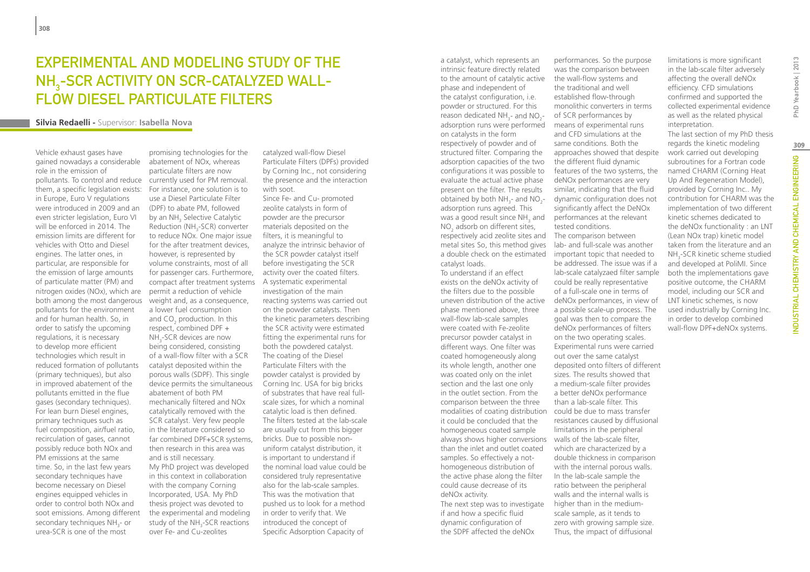# Experimental and modeling study of the NH<sub>3</sub>-SCR ACTIVITY ON SCR-CATALYZED WALLflow Diesel Particulate Filters

#### **Silvia Redaelli -** Supervisor: **Isabella Nova**

Vehicle exhaust gases have gained nowadays a considerable

role in the emission of pollutants. To control and reduce currently used for PM removal. them, a specific legislation exists: in Europe, Euro V regulations were introduced in 2009 and an even stricter legislation, Euro VI will be enforced in 2014. The emission limits are different for vehicles with Otto and Diesel engines. The latter ones, in particular, are responsible for the emission of large amounts of particulate matter (PM) and nitrogen oxides (NOx), which are both among the most dangerous pollutants for the environment and for human health. So, in order to satisfy the upcoming regulations, it is necessary to develop more efficient technologies which result in reduced formation of pollutants (primary techniques), but also in improved abatement of the pollutants emitted in the flue gases (secondary techniques). For lean burn Diesel engines, primary techniques such as fuel composition, air/fuel ratio, recirculation of gases, cannot possibly reduce both NOx and PM emissions at the same time. So, in the last few years secondary techniques have become necessary on Diesel engines equipped vehicles in order to control both NOx and soot emissions. Among different secondary techniques NH<sub>3</sub>- or urea-SCR is one of the most

promising technologies for the abatement of NOx, whereas particulate filters are now For instance, one solution is to use a Diesel Particulate Filter (DPF) to abate PM, followed by an NH<sub>3</sub> Selective Catalytic Reduction ( $NH_{3}$ -SCR) converter to reduce NOx. One major issue for the after treatment devices, however, is represented by volume constraints, most of all for passenger cars. Furthermore, compact after treatment systems permit a reduction of vehicle weight and, as a consequence, a lower fuel consumption and  $CO<sub>2</sub>$  production. In this respect, combined DPF + NH<sub>3</sub>-SCR devices are now being considered, consisting of a wall-flow filter with a SCR catalyst deposited within the porous walls (SDPF). This single device permits the simultaneous abatement of both PM mechanically filtered and NOx catalytically removed with the SCR catalyst. Very few people in the literature considered so far combined DPF+SCR systems, then research in this area was and is still necessary. My PhD project was developed in this context in collaboration with the company Corning Incorporated, USA. My PhD thesis project was devoted to the experimental and modeling study of the NH<sub>3</sub>-SCR reactions over Fe- and Cu-zeolites

catalyzed wall-flow Diesel Particulate Filters (DPFs) provided by Corning Inc., not considering the presence and the interaction with soot.

Since Fe- and Cu- promoted zeolite catalysts in form of powder are the precursor materials deposited on the filters, it is meaningful to analyze the intrinsic behavior of the SCR powder catalyst itself before investigating the SCR activity over the coated filters. A systematic experimental investigation of the main reacting systems was carried out on the powder catalysts. Then the kinetic parameters describing the SCR activity were estimated fitting the experimental runs for both the powdered catalyst. The coating of the Diesel Particulate Filters with the powder catalyst is provided by Corning Inc. USA for big bricks of substrates that have real fullscale sizes, for which a nominal catalytic load is then defined. The filters tested at the lab-scale are usually cut from this bigger bricks. Due to possible nonuniform catalyst distribution, it is important to understand if the nominal load value could be considered truly representative also for the lab-scale samples. This was the motivation that pushed us to look for a method in order to verify that. We introduced the concept of Specific Adsorption Capacity of

a catalyst, which represents an intrinsic feature directly related to the amount of catalytic active phase and independent of the catalyst configuration, i.e. powder or structured. For this reason dedicated  $NH_{3}$ - and  $NO_{2}$ adsorption runs were performed on catalysts in the form respectively of powder and of structured filter. Comparing the adsorption capacities of the two configurations it was possible to evaluate the actual active phase present on the filter. The results obtained by both NH<sub>3</sub>- and NO<sub>2</sub>adsorption runs agreed. This was a good result since  $NH_{3}$  and  $NO<sub>2</sub>$  adsorb on different sites, respectively acid zeolite sites and metal sites. So, this method gives catalyst loads.

To understand if an effect exists on the deNOx activity of the filters due to the possible uneven distribution of the active phase mentioned above, three wall-flow lab-scale samples were coated with Fe-zeolite precursor powder catalyst in different ways. One filter was coated homogeneously along its whole length, another one was coated only on the inlet section and the last one only in the outlet section. From the comparison between the three modalities of coating distribution it could be concluded that the homogeneous coated sample always shows higher conversions walls of the lab-scale filter, than the inlet and outlet coated samples. So effectively a nothomogeneous distribution of the active phase along the filter could cause decrease of its deNOx activity. The next step was to investigate if and how a specific fluid dynamic configuration of the SDPF affected the deNOx

a double check on the estimated important topic that needed to performances. So the purpose was the comparison between the wall-flow systems and the traditional and well established flow-through monolithic converters in terms of SCR performances by means of experimental runs and CFD simulations at the same conditions. Both the approaches showed that despite the different fluid dynamic features of the two systems, the deNOx performances are very similar, indicating that the fluid dynamic configuration does not significantly affect the DeNOx performances at the relevant tested conditions. The comparison between lab- and full-scale was another be addressed. The issue was if a lab-scale catalyzaed filter sample could be really representative of a full-scale one in terms of deNOx performances, in view of a possible scale-up process. The goal was then to compare the deNOx performances of filters on the two operating scales. Experimental runs were carried out over the same catalyst deposited onto filters of different sizes. The results showed that a medium-scale filter provides a better deNOx performance than a lab-scale filter. This could be due to mass transfer resistances caused by diffusional limitations in the peripheral which are characterized by a

> double thickness in comparison with the internal porous walls. In the lab-scale sample the ratio between the peripheral walls and the internal walls is higher than in the mediumscale sample, as it tends to zero with growing sample size. Thus, the impact of diffusional

limitations is more significant in the lab-scale filter adversely affecting the overall deNOx efficiency. CFD simulations confirmed and supported the collected experimental evidence as well as the related physical interpretation.

The last section of my PhD thesis regards the kinetic modeling work carried out developing subroutines for a Fortran code named CHARM (Corning Heat Up And Regeneration Model), provided by Corning Inc.. My contribution for CHARM was the implementation of two different kinetic schemes dedicated to the deNOx functionality : an LNT (Lean NOx trap) kinetic model taken from the literature and an NH<sub>3</sub>-SCR kinetic scheme studied and developed at PoliMI. Since both the implementations gave positive outcome, the CHARM model, including our SCR and LNT kinetic schemes, is now used industrially by Corning Inc. in order to develop combined wall-flow DPF+deNOx systems.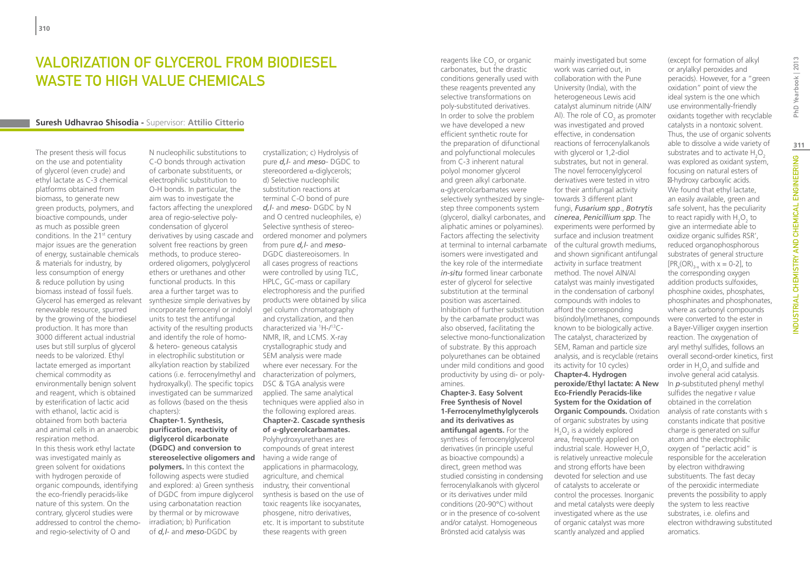# Valorization of glycerol from biodiesel waste to high value chemicals

### **Suresh Udhavrao Shisodia -** Supervisor: **Attilio Citterio**

The present thesis will focus on the use and potentiality of glycerol (even crude) and ethyl lactate as C-3 chemical platforms obtained from biomass, to generate new green products, polymers, and bioactive compounds, under as much as possible green conditions. In the 21<sup>st</sup> century major issues are the generation of energy, sustainable chemicals & materials for industry, by less consumption of energy & reduce pollution by using biomass instead of fossil fuels. Glycerol has emerged as relevant renewable resource, spurred by the growing of the biodiesel production. It has more than 3000 different actual industrial uses but still surplus of glycerol needs to be valorized. Ethyl lactate emerged as important chemical commodity as environmentally benign solvent and reagent, which is obtained by esterification of lactic acid with ethanol, lactic acid is obtained from both bacteria and animal cells in an anaerobic respiration method. In this thesis work ethyl lactate was investigated mainly as green solvent for oxidations with hydrogen peroxide of organic compounds, identifying the eco-friendly peracids-like nature of this system. On the contrary, glycerol studies were addressed to control the chemoand regio-selectivity of O and

N nucleophilic substitutions to C-O bonds through activation of carbonate substituents, or electrophilic substitution to O-H bonds. In particular, the aim was to investigate the factors affecting the unexplored area of regio-selective polycondensation of glycerol derivatives by using cascade and solvent free reactions by green methods, to produce stereoordered oligomers, polyglycerol ethers or urethanes and other functional products. In this area a further target was to synthesize simple derivatives by incorporate ferrocenyl or indolyl units to test the antifungal activity of the resulting products and identify the role of homo- & hetero- geneous catalysis in electrophilic substitution or alkylation reaction by stabilized cations (i.e. ferrocenylmethyl and characterization of polymers, hydroxyalkyl). The specific topics investigated can be summarized as follows (based on the thesis chapters): **Chapter-1. Synthesis, purification, reactivity of diglycerol dicarbonate** 

**(DGDC) and conversion to stereoselective oligomers and polymers.** In this context the following aspects were studied and explored: a) Green synthesis of DGDC from impure diglycerol using carbonatation reaction by thermal or by microwave irradiation; b) Purification of *d,l*- and *meso*-DGDC by

crystallization; c) Hydrolysis of pure *d,l*- and *meso*- DGDC to stereoordered α-diglycerols; d) Selective nucleophilic substitution reactions at terminal C-O bond of pure *d,l*- and *meso*- DGDC by N and O centred nucleophiles, e) Selective synthesis of stereoordered monomer and polymers from pure *d,l*- and *meso*-DGDC diastereoisomers. In all cases progress of reactions were controlled by using TLC, HPLC, GC-mass or capillary electrophoresis and the purified products were obtained by silica gel column chromatography and crystallization, and then characterized via 1 H-/13C-NMR, IR, and LCMS. X-ray crystallographic study and SEM analysis were made where ever necessary. For the DSC & TGA analysis were applied. The same analytical techniques were applied also in the following explored areas. **Chapter-2. Cascade synthesis of α-glycerolcarbamates.** Polyhydroxyurethanes are compounds of great interest having a wide range of applications in pharmacology, agriculture, and chemical industry, their conventional synthesis is based on the use of toxic reagents like isocyanates, phosgene, nitro derivatives, etc. It is important to substitute these reagents with green

reagents like  $\mathsf{CO}_2$  or organic carbonates, but the drastic conditions generally used with these reagents prevented any selective transformations on poly-substituted derivatives. In order to solve the problem we have developed a new efficient synthetic route for the preparation of difunctional and polyfunctional molecules from C-3 inherent natural polyol monomer glycerol and green alkyl carbonate. α-glycerolcarbamates were selectively synthesized by singlestep three components system (glycerol, dialkyl carbonates, and aliphatic amines or polyamines). Factors affecting the selectivity isomers were investigated and the key role of the intermediate *in-situ* formed linear carbonate ester of glycerol for selective substitution at the terminal position was ascertained. Inhibition of further substitution by the carbamate product was also observed, facilitating the selective mono-functionalization of substrate. By this approach polyurethanes can be obtained under mild conditions and good productivity by using di- or polyamines. **Chapter-3. Easy Solvent Free Synthesis of Novel 1-Ferrocenylmethylglycerols and its derivatives as antifungal agents.** For the synthesis of ferrocenylglycerol derivatives (in principle useful as bioactive compounds) a direct, green method was studied consisting in condensing ferrocenylalkanols with glycerol or its derivatives under mild conditions (20-90°C) without or in the presence of co-solvent

and/or catalyst. Homogeneous Brönsted acid catalysis was

at terminal to internal carbamate of the cultural growth mediums, work was carried out, in collaboration with the Pune University (India), with the heterogeneous Lewis acid catalyst aluminum nitride (AlN/ Al). The role of  $CO<sub>2</sub>$  as promoter was investigated and proved effective, in condensation reactions of ferrocenylalkanols with glycerol or 1,2-diol substrates, but not in general. The novel ferrocenylglycerol derivatives were tested in vitro for their antifungal activity towards 3 different plant fungi, *Fusarium spp*., *Botrytis cinerea*, *Penicillium spp*. The experiments were performed by surface and inclusion treatment and shown significant antifungal activity in surface treatment method. The novel AlN/Al catalyst was mainly investigated in the condensation of carbonyl compounds with indoles to afford the corresponding bis(indolyl)methanes, compounds known to be biologically active. The catalyst, characterized by SEM, Raman and particle size analysis, and is recyclable (retains its activity for 10 cycles) **Chapter-4. Hydrogen peroxide/Ethyl lactate: A New Eco-Friendly Peracids-like System for the Oxidation of Organic Compounds.** Oxidation of organic substrates by using  $H<sub>2</sub>O<sub>2</sub>$  is a widely explored area, frequently applied on industrial scale. However  $H_2O_2$ is relatively unreactive molecule and strong efforts have been devoted for selection and use of catalysts to accelerate or control the processes. Inorganic and metal catalysts were deeply investigated where as the use of organic catalyst was more scantly analyzed and applied

mainly investigated but some

(except for formation of alkyl or arylalkyl peroxides and peracids). However, for a "green oxidation" point of view the ideal system is the one which use environmentally-friendly oxidants together with recyclable catalysts in a nontoxic solvent. Thus, the use of organic solvents able to dissolve a wide variety of substrates and to activate  $H_2O_2$ was explored as oxidant system, focusing on natural esters of -hydroxy carboxylic acids. We found that ethyl lactate, an easily available, green and safe solvent, has the peculiarity to react rapidly with  $H_2O_2$  to give an intermediate able to oxidize organic sulfides RSR', reduced organophosphorous substrates of general structure  $[PR_x(OR)_{3-x}$  with  $x = 0-2$ , to the corresponding oxygen addition products sulfoxides, phosphine oxides, phosphates, phosphinates and phosphonates, where as carbonyl compounds were converted to the ester in a Bayer-Villiger oxygen insertion reaction. The oxygenation of aryl methyl sulfides, follows an overall second-order kinetics, first order in  $H_2O_2$  and sulfide and involve general acid catalysis. In *p*-substituted phenyl methyl sulfides the negative r value obtained in the correlation analysis of rate constants with s constants indicate that positive charge is generated on sulfur atom and the electrophilic oxygen of "perlactic acid" is responsible for the acceleration by electron withdrawing substituents. The fast decay of the peroxidic intermediate prevents the possibility to apply the system to less reactive substrates, i.e. olefins and electron withdrawing substituted aromatics.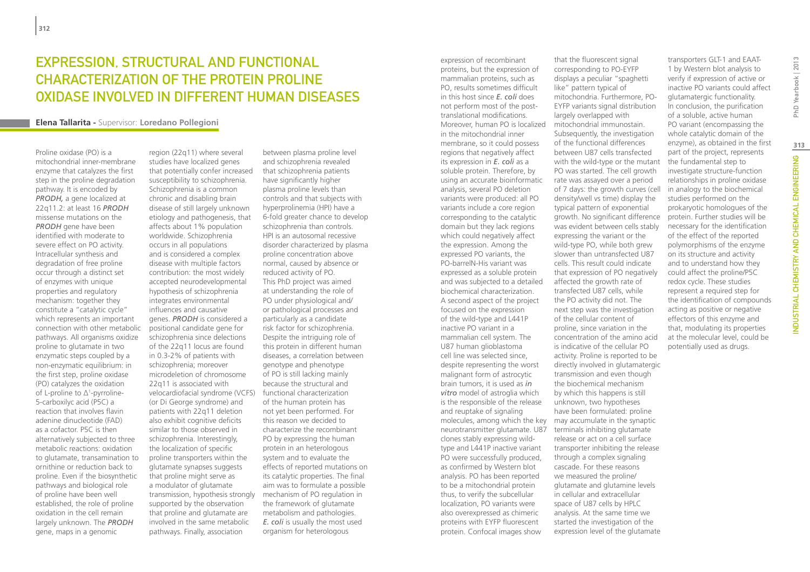## Expression, structural and functional characterization of the protein Proline Oxidase involved in different human diseases

#### **Elena Tallarita -** Supervisor: **Loredano Pollegioni**

Proline oxidase (PO) is a mitochondrial inner-membrane enzyme that catalyzes the first step in the proline degradation pathway. It is encoded by *PRODH,* a gene localized at 22q11.2: at least 16 *PRODH* missense mutations on the *PRODH* gene have been identified with moderate to severe effect on PO activity. Intracellular synthesis and degradation of free proline occur through a distinct set of enzymes with unique properties and regulatory mechanism: together they constitute a "catalytic cycle" which represents an important connection with other metabolic pathways. All organisms oxidize proline to glutamate in two enzymatic steps coupled by a non-enzymatic equilibrium: in the first step, proline oxidase (PO) catalyzes the oxidation of L-proline to Δ1 -pyrroline-5-carboxilyc acid (P5C) a reaction that involves flavin adenine dinucleotide (FAD) as a cofactor. P5C is then alternatively subjected to three metabolic reactions: oxidation to glutamate, transamination to ornithine or reduction back to proline. Even if the biosynthetic pathways and biological role of proline have been well established, the role of proline oxidation in the cell remain largely unknown. The *PRODH*  gene, maps in a genomic

region (22q11) where several studies have localized genes that potentially confer increased susceptibility to schizophrenia. Schizophrenia is a common chronic and disabling brain disease of still largely unknown etiology and pathogenesis, that affects about 1% population worldwide. Schizophrenia occurs in all populations and is considered a complex disease with multiple factors contribution: the most widely accepted neurodevelopmental hypothesis of schizophrenia integrates environmental influences and causative genes. *PRODH* is considered a positional candidate gene for schizophrenia since delections of the 22q11 locus are found in 0.3-2% of patients with schizophrenia; moreover microdeletion of chromosome 22q11 is associated with velocardiofacial syndrome (VCFS) functional characterization (or Di George syndrome) and patients with 22q11 deletion also exhibit cognitive deficits similar to those observed in schizophrenia. Interestingly, the localization of specific proline transporters within the glutamate synapses suggests that proline might serve as a modulator of glutamate transmission, hypothesis strongly supported by the observation that proline and glutamate are involved in the same metabolic pathways. Finally, association

between plasma proline level and schizophrenia revealed that schizophrenia patients have significantly higher plasma proline levels than controls and that subjects with hyperprolinemia (HPI) have a 6-fold greater chance to develop schizophrenia than controls. HPI is an autosomal recessive disorder characterized by plasma proline concentration above normal, caused by absence or reduced activity of PO. This PhD project was aimed at understanding the role of PO under physiological and/ or pathological processes and particularly as a candidate risk factor for schizophrenia. Despite the intriguing role of this protein in different human diseases, a correlation between genotype and phenotype of PO is still lacking mainly because the structural and of the human protein has not yet been performed. For this reason we decided to characterize the recombinant PO by expressing the human protein in an heterologous system and to evaluate the effects of reported mutations on its catalytic properties. The final aim was to formulate a possible mechanism of PO regulation in the framework of glutamate metabolism and pathologies. *E. coli* is usually the most used organism for heterologous

expression of recombinant proteins, but the expression of mammalian proteins, such as PO, results sometimes difficult in this host since *E. coli* does not perform most of the posttranslational modifications. Moreover, human PO is localized in the mitochondrial inner membrane, so it could possess regions that negatively affect its expression in *E. coli* as a soluble protein. Therefore, by using an accurate bioinformatic analysis, several PO deletion variants were produced: all PO variants include a core region corresponding to the catalytic domain but they lack regions which could negatively affect the expression. Among the expressed PO variants, the PO-barrelN-His variant was expressed as a soluble protein and was subjected to a detailed biochemical characterization. A second aspect of the project focused on the expression of the wild-type and L441P inactive PO variant in a mammalian cell system. The U87 human glioblastoma cell line was selected since, despite representing the worst malignant form of astrocytic brain tumors, it is used as *in vitro* model of astroglia which is the responsible of the release and reuptake of signaling molecules, among which the key may accumulate in the synaptic neurotransmitter glutamate. U87 clones stably expressing wildtype and L441P inactive variant PO were successfully produced, as confirmed by Western blot analysis. PO has been reported to be a mitochondrial protein thus, to verify the subcellular localization, PO variants were also overexpressed as chimeric proteins with EYFP fluorescent protein. Confocal images show

that the fluorescent signal corresponding to PO-EYFP displays a peculiar "spaghetti like" pattern typical of mitochondria. Furthermore, PO-EYFP variants signal distribution largely overlapped with mitochondrial immunostain. Subsequently, the investigation of the functional differences between U87 cells transfected with the wild-type or the mutant PO was started. The cell growth rate was assayed over a period of 7 days: the growth curves (cell density/well vs time) display the typical pattern of exponential growth. No significant difference was evident between cells stably expressing the variant or the wild-type PO, while both grew slower than untransfected U87 cells. This result could indicate that expression of PO negatively affected the growth rate of transfected U87 cells, while the PO activity did not. The next step was the investigation of the cellular content of proline, since variation in the concentration of the amino acid is indicative of the cellular PO activity. Proline is reported to be directly involved in glutamatergic transmission and even though the biochemical mechanism by which this happens is still unknown, two hypotheses have been formulated: proline terminals inhibiting glutamate release or act on a cell surface transporter inhibiting the release through a complex signaling cascade. For these reasons we measured the proline/ glutamate and glutamine levels in cellular and extracellular space of U87 cells by HPLC analysis. At the same time we started the investigation of the expression level of the glutamate

transporters GLT-1 and EAAT-1 by Western blot analysis to verify if expression of active or inactive PO variants could affect glutamatergic functionality. In conclusion, the purification of a soluble, active human PO variant (encompassing the whole catalytic domain of the enzyme), as obtained in the first part of the project, represents the fundamental step to investigate structure-function relationships in proline oxidase in analogy to the biochemical studies performed on the prokaryotic homologues of the protein. Further studies will be necessary for the identification of the effect of the reported polymorphisms of the enzyme on its structure and activity and to understand how they could affect the proline/P5C redox cycle. These studies represent a required step for the identification of compounds acting as positive or negative effectors of this enzyme and that, modulating its properties at the molecular level, could be potentially used as drugs.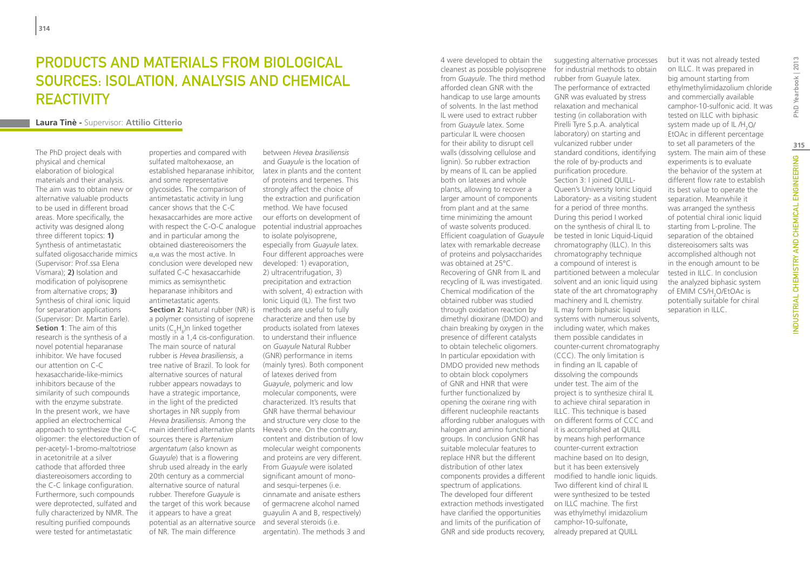# Products and materials from biological sources: isolation, analysis and chemical **REACTIVITY**

### **Laura Tinè -** Supervisor: **Attilio Citterio**

The PhD project deals with physical and chemical elaboration of biological materials and their analysis. The aim was to obtain new or alternative valuable products to be used in different broad areas. More specifically, the activity was designed along three different topics: **1)** Synthesis of antimetastatic sulfated oligosaccharide mimics (Supervisor: Prof.ssa Elena Vismara); **2)** Isolation and modification of polyisoprene from alternative crops; **3)** Synthesis of chiral ionic liquid for separation applications (Supervisor: Dr. Martin Earle). **Setion 1**: The aim of this research is the synthesis of a novel potential heparanase inhibitor. We have focused our attention on C-C hexasaccharide-like-mimics inhibitors because of the similarity of such compounds with the enzyme substrate. In the present work, we have applied an electrochemical approach to synthesize the C-C oligomer: the electoreduction of per-acetyl-1-bromo-maltotriose in acetonitrile at a silver cathode that afforded three diastereoisomers according to the C-C linkage configuration. Furthermore, such compounds were deprotected, sulfated and fully characterized by NMR. The resulting purified compounds were tested for antimetastatic

properties and compared with sulfated maltohexaose, an established heparanase inhibitor, and some representative glycosides. The comparison of antimetastatic activity in lung cancer shows that the C-C hexasaccarhides are more active with respect the C-O-C analogue potential industrial approaches and in particular among the obtained diastereoisomers the α,α was the most active. In conclusion were developed new sulfated C-C hexasaccarhide mimics as semisynthetic heparanase inhibitors and antimetastatic agents. **Section 2:** Natural rubber (NR) is methods are useful to fully a polymer consisting of isoprene units ( $C_5H_8$ )n linked together mostly in a 1,4 cis-configuration. The main source of natural rubber is *Hevea brasiliensis*, a tree native of Brazil. To look for alternative sources of natural rubber appears nowadays to have a strategic importance, in the light of the predicted shortages in NR supply from *Hevea brasiliensis*. Among the main identified alternative plants Hevea's one. On the contrary, sources there is *Partenium argentatum* (also known as *Guayule*) that is a flowering shrub used already in the early 20th century as a commercial alternative source of natural rubber. Therefore *Guayule* is the target of this work because it appears to have a great potential as an alternative source and several steroids (i.e. of NR. The main difference

between *Hevea brasiliensis* and *Guayule* is the location of latex in plants and the content of proteins and terpenes. This strongly affect the choice of the extraction and purification method. We have focused our efforts on development of to isolate polyisoprene, especially from *Guayule* latex. Four different approaches were developed: 1) evaporation, 2) ultracentrifugation, 3) precipitation and extraction with solvent, 4) extraction with Ionic Liquid (IL). The first two characterize and then use by products isolated from latexes to understand their influence on *Guayule* Natural Rubber (GNR) performance in items (mainly tyres). Both component of latexes derived from *Guayule*, polymeric and low molecular components, were characterized. It's results that GNR have thermal behaviour and structure very close to the content and distribution of low molecular weight components and proteins are very different. From *Guayule* were isolated significant amount of monoand sesqui-terpenes (i.e. cinnamate and anisate esthers of germacrene alcohol named guayulin A and B, respectively) argentatin). The methods 3 and 4 were developed to obtain the cleanest as possible polyisoprene from *Guayule*. The third method afforded clean GNR with the handicap to use large amounts of solvents. In the last method IL were used to extract rubber from *Guayule* latex. Some particular IL were choosen for their ability to disrupt cell walls (dissolving cellulose and lignin). So rubber extraction by means of IL can be applied both on latexes and whole plants, allowing to recover a larger amount of components from plant and at the same time minimizing the amount of waste solvents produced. Efficient coagulation of *Guayule* latex with remarkable decrease of proteins and polysaccharides was obtained at 25°C. Recovering of GNR from IL and recycling of IL was investigated. Chemical modification of the obtained rubber was studied through oxidation reaction by dimethyl dioxirane (DMDO) and chain breaking by oxygen in the presence of different catalysts to obtain telechelic oligomers. In particular epoxidation with DMDO provided new methods to obtain block copolymers of GNR and HNR that were further functionalized by opening the oxirane ring with different nucleophile reactants affording rubber analogues with halogen and amino functional groups. In conclusion GNR has suitable molecular features to replace HNR but the different distribution of other latex components provides a different modified to handle ionic liquids. spectrum of applications. The developed four different extraction methods investigated have clarified the opportunities and limits of the purification of GNR and side products recovery,

suggesting alternative processes for industrial methods to obtain rubber from Guayule latex. The performance of extracted GNR was evaluated by stress relaxation and mechanical testing (in collaboration with Pirelli Tyre S.p.A. analytical laboratory) on starting and vulcanized rubber under standard conditions, identifying the role of by-products and purification procedure. Section 3: I joined QUILL-Queen's University Ionic Liquid Laboratory- as a visiting student for a period of three months. During this period I worked on the synthesis of chiral IL to be tested in Ionic Liquid-Liquid chromatography (ILLC). In this chromatography technique a compound of interest is partitioned between a molecular solvent and an ionic liquid using state of the art chromatography machinery and IL chemistry. IL may form biphasic liquid systems with numerous solvents, including water, which makes them possible candidates in counter-current chromatography (CCC). The only limitation is in finding an IL capable of dissolving the compounds under test. The aim of the project is to synthesize chiral IL to achieve chiral separation in ILLC. This technique is based on different forms of CCC and it is accomplished at QUILL by means high performance counter-current extraction machine based on Ito design, but it has been extensively Two different kind of chiral IL were synthesized to be tested on ILLC machine. The first was ethylmethyl imidazolium

camphor-10-sulfonate, already prepared at QUILL but it was not already tested on ILLC. It was prepared in big amount starting from ethylmethylimidazolium chloride and commercially available camphor-10-sulfonic acid. It was tested on ILLC with biphasic system made up of IL /H<sub>2</sub>O/ EtOAc in different percentage to set all parameters of the system. The main aim of these experiments is to evaluate the behavior of the system at different flow rate to establish its best value to operate the separation. Meanwhile it was arranged the synthesis of potential chiral ionic liquid starting from L-proline. The separation of the obtained distereoisomers salts was accomplished although not in the enough amount to be tested in ILLC. In conclusion the analyzed biphasic system of EMIM CS/H<sub>2</sub>O/EtOAc is potentially suitable for chiral separation in ILLC.